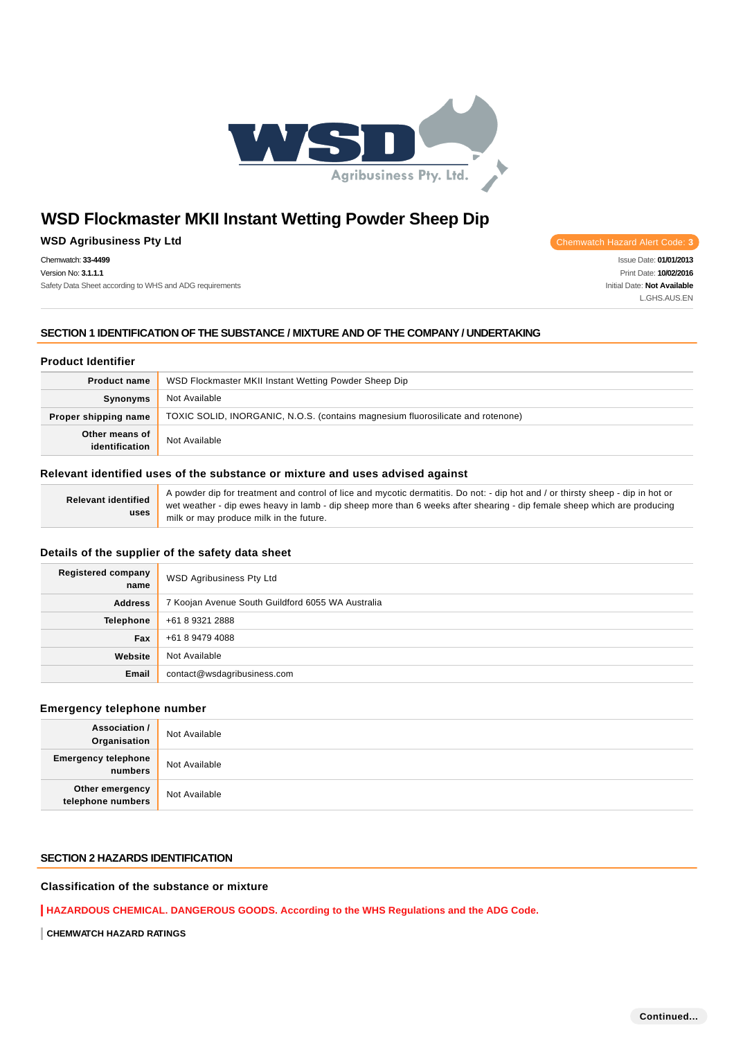

### **WSD Agribusiness Pty Ltd Chemwatch Hazard Alert Code: 3**

Chemwatch: **33-4499** Version No: **3.1.1.1**

Safety Data Sheet according to WHS and ADG requirements

Issue Date: **01/01/2013** Print Date: **10/02/2016** Initial Date: **Not Available** L.GHS.AUS.EN

### **SECTION 1 IDENTIFICATION OF THE SUBSTANCE / MIXTURE AND OF THE COMPANY / UNDERTAKING**

### **Product Identifier**

| <b>Product name</b>              | WSD Flockmaster MKII Instant Wetting Powder Sheep Dip                           |
|----------------------------------|---------------------------------------------------------------------------------|
| Synonyms                         | Not Available                                                                   |
| Proper shipping name             | TOXIC SOLID, INORGANIC, N.O.S. (contains magnesium fluorosilicate and rotenone) |
| Other means of<br>identification | Not Available                                                                   |

### **Relevant identified uses of the substance or mixture and uses advised against**

| Relevant identified<br>uses | A powder dip for treatment and control of lice and mycotic dermatitis. Do not: - dip hot and / or thirsty sheep - dip in hot or |
|-----------------------------|---------------------------------------------------------------------------------------------------------------------------------|
|                             | wet weather - dip ewes heavy in lamb - dip sheep more than 6 weeks after shearing - dip female sheep which are producing        |
|                             | " milk or may produce milk in the future.                                                                                       |

### **Details of the supplier of the safety data sheet**

| <b>Registered company</b><br>name | <b>WSD Agribusiness Pty Ltd</b>                   |  |
|-----------------------------------|---------------------------------------------------|--|
| <b>Address</b>                    | 7 Koojan Avenue South Guildford 6055 WA Australia |  |
| <b>Telephone</b>                  | +61 8 9321 2888                                   |  |
| Fax                               | +61 8 9479 4088                                   |  |
| Website                           | Not Available                                     |  |
| Email                             | contact@wsdagribusiness.com                       |  |

# **Emergency telephone number**

| <b>Association /</b><br>Organisation  | Not Available |
|---------------------------------------|---------------|
| <b>Emergency telephone</b><br>numbers | Not Available |
| Other emergency<br>telephone numbers  | Not Available |

# **SECTION 2 HAZARDS IDENTIFICATION**

# **Classification of the substance or mixture**

**HAZARDOUS CHEMICAL. DANGEROUS GOODS. According to the WHS Regulations and the ADG Code.**

**CHEMWATCH HAZARD RATINGS**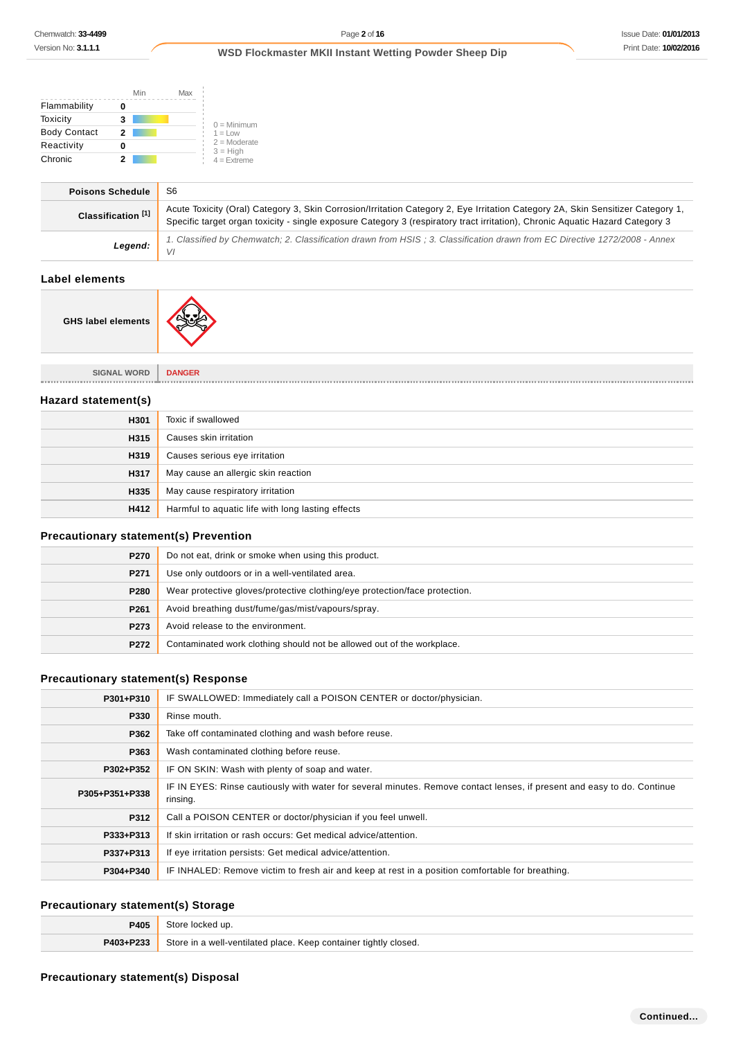|                     | Min | Max |                              |
|---------------------|-----|-----|------------------------------|
| Flammability        |     |     |                              |
| Toxicity            | 3   |     | $0 =$ Minimum                |
| <b>Body Contact</b> | 2   |     | $1 = 1$ OW                   |
| Reactivity          |     |     | $2 =$ Moderate<br>$3 = High$ |
| Chronic             |     |     | $4 =$ Extreme                |

| <b>Poisons Schedule</b>       | S6                                                                                                                                                                                                                                                               |
|-------------------------------|------------------------------------------------------------------------------------------------------------------------------------------------------------------------------------------------------------------------------------------------------------------|
| Classification <sup>[1]</sup> | Acute Toxicity (Oral) Category 3, Skin Corrosion/Irritation Category 2, Eve Irritation Category 2A, Skin Sensitizer Category 1,<br>Specific target organ toxicity - single exposure Category 3 (respiratory tract irritation), Chronic Aguatic Hazard Category 3 |
| Legend:                       | 1. Classified by Chemwatch; 2. Classification drawn from HSIS; 3. Classification drawn from EC Directive 1272/2008 - Annex<br>VI                                                                                                                                 |
|                               |                                                                                                                                                                                                                                                                  |

# **Label elements**

 $\overline{a}$ 

**GHS label elements**



**SIGNAL WORD DANGER**

### **Hazard statement(s)**

| H301 | Toxic if swallowed                                |
|------|---------------------------------------------------|
| H315 | Causes skin irritation                            |
| H319 | Causes serious eye irritation                     |
| H317 | May cause an allergic skin reaction               |
| H335 | May cause respiratory irritation                  |
| H412 | Harmful to aquatic life with long lasting effects |

### **Precautionary statement(s) Prevention**

| P <sub>270</sub> | Do not eat, drink or smoke when using this product.                        |
|------------------|----------------------------------------------------------------------------|
| P271             | Use only outdoors or in a well-ventilated area.                            |
| P280             | Wear protective gloves/protective clothing/eye protection/face protection. |
| P <sub>261</sub> | Avoid breathing dust/fume/gas/mist/vapours/spray.                          |
| P273             | Avoid release to the environment.                                          |
| P272             | Contaminated work clothing should not be allowed out of the workplace.     |

### **Precautionary statement(s) Response**

| P301+P310      | IF SWALLOWED: Immediately call a POISON CENTER or doctor/physician.                                                                 |  |
|----------------|-------------------------------------------------------------------------------------------------------------------------------------|--|
| P330           | Rinse mouth.                                                                                                                        |  |
| P362           | Take off contaminated clothing and wash before reuse.                                                                               |  |
| P363           | Wash contaminated clothing before reuse.                                                                                            |  |
| P302+P352      | IF ON SKIN: Wash with plenty of soap and water.                                                                                     |  |
| P305+P351+P338 | IF IN EYES: Rinse cautiously with water for several minutes. Remove contact lenses, if present and easy to do. Continue<br>rinsing. |  |
| P312           | Call a POISON CENTER or doctor/physician if you feel unwell.                                                                        |  |
| P333+P313      | If skin irritation or rash occurs: Get medical advice/attention.                                                                    |  |
| P337+P313      | If eye irritation persists: Get medical advice/attention.                                                                           |  |
| P304+P340      | IF INHALED: Remove victim to fresh air and keep at rest in a position comfortable for breathing.                                    |  |

# **Precautionary statement(s) Storage**

| P405      | Store locked up.                                                 |
|-----------|------------------------------------------------------------------|
| P403+P233 | Store in a well-ventilated place. Keep container tightly closed. |

### **Precautionary statement(s) Disposal**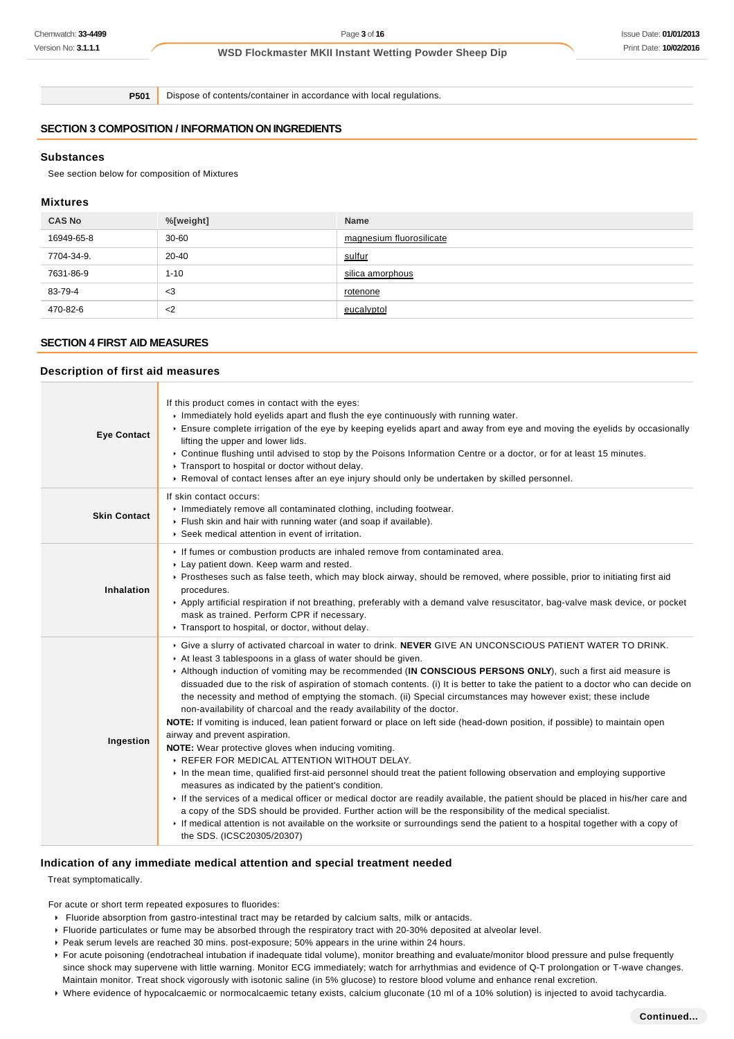**P501** Dispose of contents/container in accordance with local regulations.

# **SECTION 3 COMPOSITION / INFORMATION ON INGREDIENTS**

### **Substances**

See section below for composition of Mixtures

### **Mixtures**

| <b>CAS No</b> | %[weight] | Name                     |
|---------------|-----------|--------------------------|
| 16949-65-8    | $30 - 60$ | magnesium fluorosilicate |
| 7704-34-9.    | $20 - 40$ | sulfur                   |
| 7631-86-9     | $1 - 10$  | silica amorphous         |
| 83-79-4       | $<$ 3     | rotenone                 |
| 470-82-6      | $<$ 2     | eucalyptol               |

### **SECTION 4 FIRST AID MEASURES**

#### **Description of first aid measures**

| <b>Eye Contact</b>  | If this product comes in contact with the eyes:<br>Immediately hold eyelids apart and flush the eye continuously with running water.<br>Ensure complete irrigation of the eye by keeping eyelids apart and away from eye and moving the eyelids by occasionally<br>lifting the upper and lower lids.<br>► Continue flushing until advised to stop by the Poisons Information Centre or a doctor, or for at least 15 minutes.<br>▶ Transport to hospital or doctor without delay.<br>► Removal of contact lenses after an eye injury should only be undertaken by skilled personnel.                                                                                                                                                                                                                                                                                                                                                                                                                                                                                                                                                                                                                                                                                                                                                                                                                                                                                                        |  |  |
|---------------------|--------------------------------------------------------------------------------------------------------------------------------------------------------------------------------------------------------------------------------------------------------------------------------------------------------------------------------------------------------------------------------------------------------------------------------------------------------------------------------------------------------------------------------------------------------------------------------------------------------------------------------------------------------------------------------------------------------------------------------------------------------------------------------------------------------------------------------------------------------------------------------------------------------------------------------------------------------------------------------------------------------------------------------------------------------------------------------------------------------------------------------------------------------------------------------------------------------------------------------------------------------------------------------------------------------------------------------------------------------------------------------------------------------------------------------------------------------------------------------------------|--|--|
| <b>Skin Contact</b> | If skin contact occurs:<br>Inmediately remove all contaminated clothing, including footwear.<br>Flush skin and hair with running water (and soap if available).<br>▶ Seek medical attention in event of irritation.                                                                                                                                                                                                                                                                                                                                                                                                                                                                                                                                                                                                                                                                                                                                                                                                                                                                                                                                                                                                                                                                                                                                                                                                                                                                        |  |  |
| Inhalation          | If fumes or combustion products are inhaled remove from contaminated area.<br>Lay patient down. Keep warm and rested.<br>▶ Prostheses such as false teeth, which may block airway, should be removed, where possible, prior to initiating first aid<br>procedures.<br>▶ Apply artificial respiration if not breathing, preferably with a demand valve resuscitator, bag-valve mask device, or pocket<br>mask as trained. Perform CPR if necessary.<br>Transport to hospital, or doctor, without delay.                                                                                                                                                                                                                                                                                                                                                                                                                                                                                                                                                                                                                                                                                                                                                                                                                                                                                                                                                                                     |  |  |
| Ingestion           | ▶ Give a slurry of activated charcoal in water to drink. NEVER GIVE AN UNCONSCIOUS PATIENT WATER TO DRINK.<br>At least 3 tablespoons in a glass of water should be given.<br>Although induction of vomiting may be recommended (IN CONSCIOUS PERSONS ONLY), such a first aid measure is<br>dissuaded due to the risk of aspiration of stomach contents. (i) It is better to take the patient to a doctor who can decide on<br>the necessity and method of emptying the stomach. (ii) Special circumstances may however exist; these include<br>non-availability of charcoal and the ready availability of the doctor.<br>NOTE: If vomiting is induced, lean patient forward or place on left side (head-down position, if possible) to maintain open<br>airway and prevent aspiration.<br>NOTE: Wear protective gloves when inducing vomiting.<br>REFER FOR MEDICAL ATTENTION WITHOUT DELAY.<br>In the mean time, qualified first-aid personnel should treat the patient following observation and employing supportive<br>measures as indicated by the patient's condition.<br>If the services of a medical officer or medical doctor are readily available, the patient should be placed in his/her care and<br>a copy of the SDS should be provided. Further action will be the responsibility of the medical specialist.<br>If medical attention is not available on the worksite or surroundings send the patient to a hospital together with a copy of<br>the SDS. (ICSC20305/20307) |  |  |

### **Indication of any immediate medical attention and special treatment needed**

Treat symptomatically.

For acute or short term repeated exposures to fluorides:

- Fluoride absorption from gastro-intestinal tract may be retarded by calcium salts, milk or antacids.
- Fluoride particulates or fume may be absorbed through the respiratory tract with 20-30% deposited at alveolar level.
- Peak serum levels are reached 30 mins. post-exposure; 50% appears in the urine within 24 hours.
- For acute poisoning (endotracheal intubation if inadequate tidal volume), monitor breathing and evaluate/monitor blood pressure and pulse frequently since shock may supervene with little warning. Monitor ECG immediately; watch for arrhythmias and evidence of Q-T prolongation or T-wave changes. Maintain monitor. Treat shock vigorously with isotonic saline (in 5% glucose) to restore blood volume and enhance renal excretion.
- Where evidence of hypocalcaemic or normocalcaemic tetany exists, calcium gluconate (10 ml of a 10% solution) is injected to avoid tachycardia.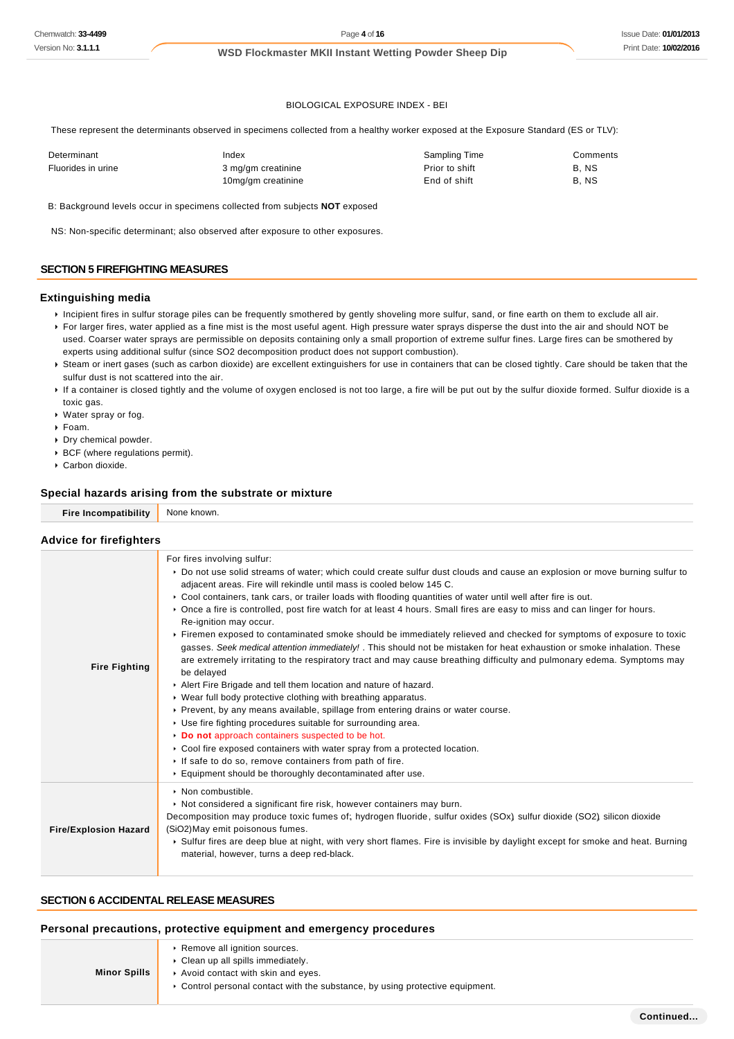### BIOLOGICAL EXPOSURE INDEX - BEI

These represent the determinants observed in specimens collected from a healthy worker exposed at the Exposure Standard (ES or TLV):

| Determinant        | Index              | Sampling Time  | Comments |
|--------------------|--------------------|----------------|----------|
| Fluorides in urine | 3 mg/gm creatinine | Prior to shift | B, NS    |
|                    | 10mg/gm creatinine | End of shift   | B.NS     |

B: Background levels occur in specimens collected from subjects **NOT** exposed

NS: Non-specific determinant; also observed after exposure to other exposures.

### **SECTION 5 FIREFIGHTING MEASURES**

#### **Extinguishing media**

- Incipient fires in sulfur storage piles can be frequently smothered by gently shoveling more sulfur, sand, or fine earth on them to exclude all air.
- ▶ For larger fires, water applied as a fine mist is the most useful agent. High pressure water sprays disperse the dust into the air and should NOT be used. Coarser water sprays are permissible on deposits containing only a small proportion of extreme sulfur fines. Large fires can be smothered by experts using additional sulfur (since SO2 decomposition product does not support combustion).
- Steam or inert gases (such as carbon dioxide) are excellent extinguishers for use in containers that can be closed tightly. Care should be taken that the sulfur dust is not scattered into the air.
- ▶ If a container is closed tightly and the volume of oxygen enclosed is not too large, a fire will be put out by the sulfur dioxide formed. Sulfur dioxide is a toxic gas.
- Water spray or fog.
- Foam.
- Dry chemical powder.
- BCF (where regulations permit).
- Carbon dioxide.

#### **Special hazards arising from the substrate or mixture**

**Fire Incompatibility** None known.

#### **Advice for firefighters**

| <b>Fire Fighting</b>         | For fires involving sulfur:<br>▶ Do not use solid streams of water; which could create sulfur dust clouds and cause an explosion or move burning sulfur to<br>adjacent areas. Fire will rekindle until mass is cooled below 145 C.<br>► Cool containers, tank cars, or trailer loads with flooding quantities of water until well after fire is out.<br>► Once a fire is controlled, post fire watch for at least 4 hours. Small fires are easy to miss and can linger for hours.<br>Re-ignition may occur.<br>Firemen exposed to contaminated smoke should be immediately relieved and checked for symptoms of exposure to toxic<br>gasses. Seek medical attention immediately! . This should not be mistaken for heat exhaustion or smoke inhalation. These<br>are extremely irritating to the respiratory tract and may cause breathing difficulty and pulmonary edema. Symptoms may<br>be delayed<br>Alert Fire Brigade and tell them location and nature of hazard.<br>▶ Wear full body protective clothing with breathing apparatus.<br>▶ Prevent, by any means available, spillage from entering drains or water course.<br>▶ Use fire fighting procedures suitable for surrounding area.<br>Do not approach containers suspected to be hot.<br>► Cool fire exposed containers with water spray from a protected location.<br>If safe to do so, remove containers from path of fire.<br>Equipment should be thoroughly decontaminated after use. |
|------------------------------|---------------------------------------------------------------------------------------------------------------------------------------------------------------------------------------------------------------------------------------------------------------------------------------------------------------------------------------------------------------------------------------------------------------------------------------------------------------------------------------------------------------------------------------------------------------------------------------------------------------------------------------------------------------------------------------------------------------------------------------------------------------------------------------------------------------------------------------------------------------------------------------------------------------------------------------------------------------------------------------------------------------------------------------------------------------------------------------------------------------------------------------------------------------------------------------------------------------------------------------------------------------------------------------------------------------------------------------------------------------------------------------------------------------------------------------------------------|
| <b>Fire/Explosion Hazard</b> | • Non combustible.<br>Not considered a significant fire risk, however containers may burn.<br>Decomposition may produce toxic fumes of; hydrogen fluoride, sulfur oxides (SOx) sulfur dioxide (SO2) silicon dioxide<br>(SiO2) May emit poisonous fumes.<br>► Sulfur fires are deep blue at night, with very short flames. Fire is invisible by daylight except for smoke and heat. Burning<br>material, however, turns a deep red-black.                                                                                                                                                                                                                                                                                                                                                                                                                                                                                                                                                                                                                                                                                                                                                                                                                                                                                                                                                                                                                |

### **SECTION 6 ACCIDENTAL RELEASE MEASURES**

### **Personal precautions, protective equipment and emergency procedures**

| <b>Minor Spills</b> | ▶ Remove all ignition sources.<br>• Clean up all spills immediately.<br>Avoid contact with skin and eyes.<br>► Control personal contact with the substance, by using protective equipment. |
|---------------------|--------------------------------------------------------------------------------------------------------------------------------------------------------------------------------------------|
|---------------------|--------------------------------------------------------------------------------------------------------------------------------------------------------------------------------------------|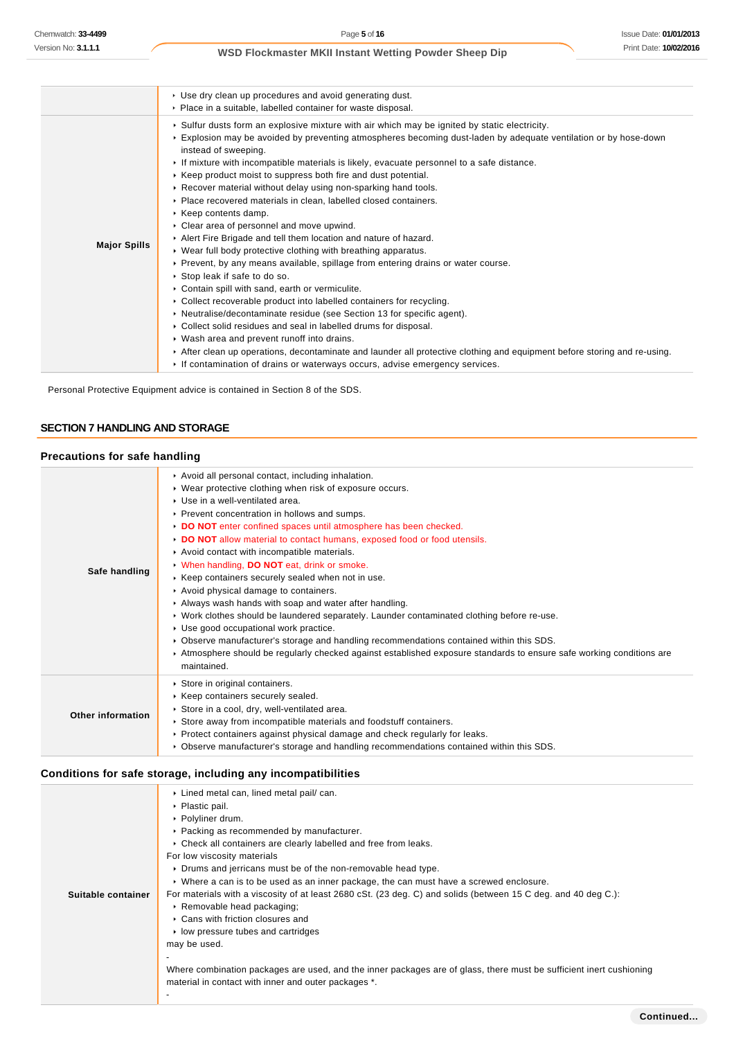|                     | ▶ Use dry clean up procedures and avoid generating dust.<br>• Place in a suitable, labelled container for waste disposal.                                                                                                                                                                                                                                                                                                                                                                                                                                                                                                                                                                                                                                                                                                                                                                                                                                                                                                                                                                                                                                                                                                                                                                                                                                                                                                       |
|---------------------|---------------------------------------------------------------------------------------------------------------------------------------------------------------------------------------------------------------------------------------------------------------------------------------------------------------------------------------------------------------------------------------------------------------------------------------------------------------------------------------------------------------------------------------------------------------------------------------------------------------------------------------------------------------------------------------------------------------------------------------------------------------------------------------------------------------------------------------------------------------------------------------------------------------------------------------------------------------------------------------------------------------------------------------------------------------------------------------------------------------------------------------------------------------------------------------------------------------------------------------------------------------------------------------------------------------------------------------------------------------------------------------------------------------------------------|
| <b>Major Spills</b> | ► Sulfur dusts form an explosive mixture with air which may be ignited by static electricity.<br>Explosion may be avoided by preventing atmospheres becoming dust-laden by adequate ventilation or by hose-down<br>instead of sweeping.<br>If mixture with incompatible materials is likely, evacuate personnel to a safe distance.<br>► Keep product moist to suppress both fire and dust potential.<br>▶ Recover material without delay using non-sparking hand tools.<br>Place recovered materials in clean, labelled closed containers.<br>$\triangleright$ Keep contents damp.<br>• Clear area of personnel and move upwind.<br>Alert Fire Brigade and tell them location and nature of hazard.<br>▶ Wear full body protective clothing with breathing apparatus.<br>► Prevent, by any means available, spillage from entering drains or water course.<br>▶ Stop leak if safe to do so.<br>Contain spill with sand, earth or vermiculite.<br>• Collect recoverable product into labelled containers for recycling.<br>• Neutralise/decontaminate residue (see Section 13 for specific agent).<br>▶ Collect solid residues and seal in labelled drums for disposal.<br>• Wash area and prevent runoff into drains.<br>After clean up operations, decontaminate and launder all protective clothing and equipment before storing and re-using.<br>If contamination of drains or waterways occurs, advise emergency services. |

Personal Protective Equipment advice is contained in Section 8 of the SDS.

# **SECTION 7 HANDLING AND STORAGE**

# **Precautions for safe handling**

| Safe handling     | Avoid all personal contact, including inhalation.<br>• Wear protective clothing when risk of exposure occurs.<br>▶ Use in a well-ventilated area.<br>▶ Prevent concentration in hollows and sumps.<br>DO NOT enter confined spaces until atmosphere has been checked.<br>DO NOT allow material to contact humans, exposed food or food utensils.<br>Avoid contact with incompatible materials.<br>V When handling, DO NOT eat, drink or smoke.<br>▶ Keep containers securely sealed when not in use.<br>Avoid physical damage to containers.<br>Always wash hands with soap and water after handling.<br>► Work clothes should be laundered separately. Launder contaminated clothing before re-use.<br>Use good occupational work practice.<br>► Observe manufacturer's storage and handling recommendations contained within this SDS.<br>Atmosphere should be regularly checked against established exposure standards to ensure safe working conditions are<br>maintained. |
|-------------------|--------------------------------------------------------------------------------------------------------------------------------------------------------------------------------------------------------------------------------------------------------------------------------------------------------------------------------------------------------------------------------------------------------------------------------------------------------------------------------------------------------------------------------------------------------------------------------------------------------------------------------------------------------------------------------------------------------------------------------------------------------------------------------------------------------------------------------------------------------------------------------------------------------------------------------------------------------------------------------|
| Other information | Store in original containers.<br>▶ Keep containers securely sealed.<br>Store in a cool, dry, well-ventilated area.<br>Store away from incompatible materials and foodstuff containers.<br>► Protect containers against physical damage and check regularly for leaks.<br>► Observe manufacturer's storage and handling recommendations contained within this SDS.                                                                                                                                                                                                                                                                                                                                                                                                                                                                                                                                                                                                              |

# **Conditions for safe storage, including any incompatibilities**

| Suitable container | ▶ Lined metal can, lined metal pail/ can.<br>▶ Plastic pail.<br>▶ Polyliner drum.<br>▶ Packing as recommended by manufacturer.<br>• Check all containers are clearly labelled and free from leaks.<br>For low viscosity materials<br>► Drums and jerricans must be of the non-removable head type.<br>► Where a can is to be used as an inner package, the can must have a screwed enclosure.<br>For materials with a viscosity of at least 2680 cSt. (23 deg. C) and solids (between 15 C deg. and 40 deg C.):<br>Removable head packaging;<br>▶ Cans with friction closures and<br>$\triangleright$ low pressure tubes and cartridges<br>may be used.<br>Where combination packages are used, and the inner packages are of glass, there must be sufficient inert cushioning<br>material in contact with inner and outer packages *. |
|--------------------|----------------------------------------------------------------------------------------------------------------------------------------------------------------------------------------------------------------------------------------------------------------------------------------------------------------------------------------------------------------------------------------------------------------------------------------------------------------------------------------------------------------------------------------------------------------------------------------------------------------------------------------------------------------------------------------------------------------------------------------------------------------------------------------------------------------------------------------|
|                    |                                                                                                                                                                                                                                                                                                                                                                                                                                                                                                                                                                                                                                                                                                                                                                                                                                        |
|                    |                                                                                                                                                                                                                                                                                                                                                                                                                                                                                                                                                                                                                                                                                                                                                                                                                                        |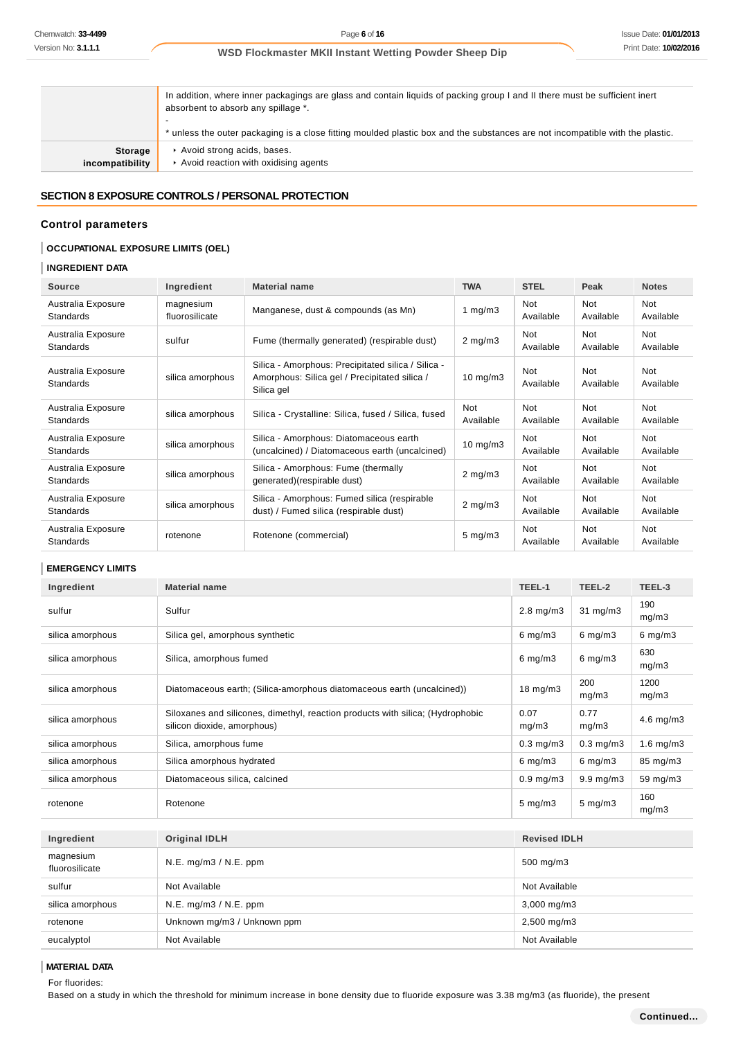In addition, where inner packagings are glass and contain liquids of packing group I and II there must be sufficient inert absorbent to absorb any spillage \*. - \* unless the outer packaging is a close fitting moulded plastic box and the substances are not incompatible with the plastic. **Storage incompatibility** Avoid strong acids, bases.  $\blacktriangleright$  Avoid reaction with oxidising agents

# **SECTION 8 EXPOSURE CONTROLS / PERSONAL PROTECTION**

### **Control parameters**

### **OCCUPATIONAL EXPOSURE LIMITS (OEL)**

# **INGREDIENT DATA**

| <b>Source</b>                          | Ingredient                  | <b>Material name</b>                                                                                              | <b>TWA</b>              | <b>STEL</b>             | Peak                    | <b>Notes</b>            |
|----------------------------------------|-----------------------------|-------------------------------------------------------------------------------------------------------------------|-------------------------|-------------------------|-------------------------|-------------------------|
| Australia Exposure<br>Standards        | magnesium<br>fluorosilicate | Manganese, dust & compounds (as Mn)                                                                               | 1 $mq/m3$               | Not<br>Available        | <b>Not</b><br>Available | Not<br>Available        |
| Australia Exposure<br>Standards        | sulfur                      | Fume (thermally generated) (respirable dust)                                                                      | $2 \text{ mg/m}$ 3      | Not<br>Available        | <b>Not</b><br>Available | <b>Not</b><br>Available |
| Australia Exposure<br>Standards        | silica amorphous            | Silica - Amorphous: Precipitated silica / Silica -<br>Amorphous: Silica gel / Precipitated silica /<br>Silica gel | $10 \text{ mg/m}$ 3     | Not<br>Available        | Not<br>Available        | Not<br>Available        |
| Australia Exposure<br><b>Standards</b> | silica amorphous            | Silica - Crystalline: Silica, fused / Silica, fused                                                               | <b>Not</b><br>Available | <b>Not</b><br>Available | <b>Not</b><br>Available | Not<br>Available        |
| Australia Exposure<br>Standards        | silica amorphous            | Silica - Amorphous: Diatomaceous earth<br>(uncalcined) / Diatomaceous earth (uncalcined)                          | $10$ mg/m $3$           | Not<br>Available        | <b>Not</b><br>Available | <b>Not</b><br>Available |
| Australia Exposure<br>Standards        | silica amorphous            | Silica - Amorphous: Fume (thermally<br>generated)(respirable dust)                                                | $2$ mg/m $3$            | Not<br>Available        | <b>Not</b><br>Available | Not<br>Available        |
| Australia Exposure<br>Standards        | silica amorphous            | Silica - Amorphous: Fumed silica (respirable<br>dust) / Fumed silica (respirable dust)                            | $2 \text{ mg/m}$ 3      | Not<br>Available        | <b>Not</b><br>Available | Not<br>Available        |
| Australia Exposure<br><b>Standards</b> | rotenone                    | Rotenone (commercial)                                                                                             | $5 \text{ mg/m}$ 3      | Not<br>Available        | Not<br>Available        | <b>Not</b><br>Available |

### **EMERGENCY LIMITS**

| Ingredient                  | <b>Material name</b>                                                                                          | TEEL-1              | TEEL-2             | TEEL-3         |
|-----------------------------|---------------------------------------------------------------------------------------------------------------|---------------------|--------------------|----------------|
| sulfur                      | Sulfur                                                                                                        | $2.8$ mg/m $3$      | $31$ mg/m $3$      | 190<br>mq/m3   |
| silica amorphous            | Silica gel, amorphous synthetic                                                                               | $6 \text{ mg/m}$ 3  | $6 \text{ mg/m}$ 3 | $6$ mg/m $3$   |
| silica amorphous            | Silica, amorphous fumed                                                                                       | $6$ mg/m $3$        | $6$ mg/m $3$       | 630<br>mg/m3   |
| silica amorphous            | Diatomaceous earth; (Silica-amorphous diatomaceous earth (uncalcined))                                        | 18 mg/m3            | 200<br>mg/m3       | 1200<br>mg/m3  |
| silica amorphous            | Siloxanes and silicones, dimethyl, reaction products with silica; (Hydrophobic<br>silicon dioxide, amorphous) | 0.07<br>mg/m3       | 0.77<br>mg/m3      | $4.6$ mg/m $3$ |
| silica amorphous            | Silica, amorphous fume                                                                                        | $0.3$ mg/m $3$      | $0.3$ mg/m $3$     | $1.6$ mg/m $3$ |
| silica amorphous            | Silica amorphous hydrated                                                                                     | $6$ mg/m $3$        | $6$ mg/m $3$       | 85 mg/m3       |
| silica amorphous            | Diatomaceous silica, calcined                                                                                 | $0.9$ mg/m $3$      | $9.9 \text{ mg/m}$ | 59 mg/m3       |
| rotenone                    | Rotenone                                                                                                      |                     | $5 \text{ mg/m}$ 3 | 160<br>mq/m3   |
| Ingredient                  | <b>Original IDLH</b>                                                                                          | <b>Revised IDLH</b> |                    |                |
|                             |                                                                                                               |                     |                    |                |
| magnesium<br>fluorosilicate | N.E. mg/m3 / N.E. ppm                                                                                         | 500 mg/m3           |                    |                |
| sulfur                      | Not Available                                                                                                 | Not Available       |                    |                |
| silica amorphous            | N.E. mg/m3 / N.E. ppm                                                                                         | 3,000 mg/m3         |                    |                |
| rotenone                    | Unknown mg/m3 / Unknown ppm                                                                                   | 2,500 mg/m3         |                    |                |

### **MATERIAL DATA**

For fluorides:

Based on a study in which the threshold for minimum increase in bone density due to fluoride exposure was 3.38 mg/m3 (as fluoride), the present

eucalyptol Not Available Not Available Not Available Not Available Not Available Not Available Not Available No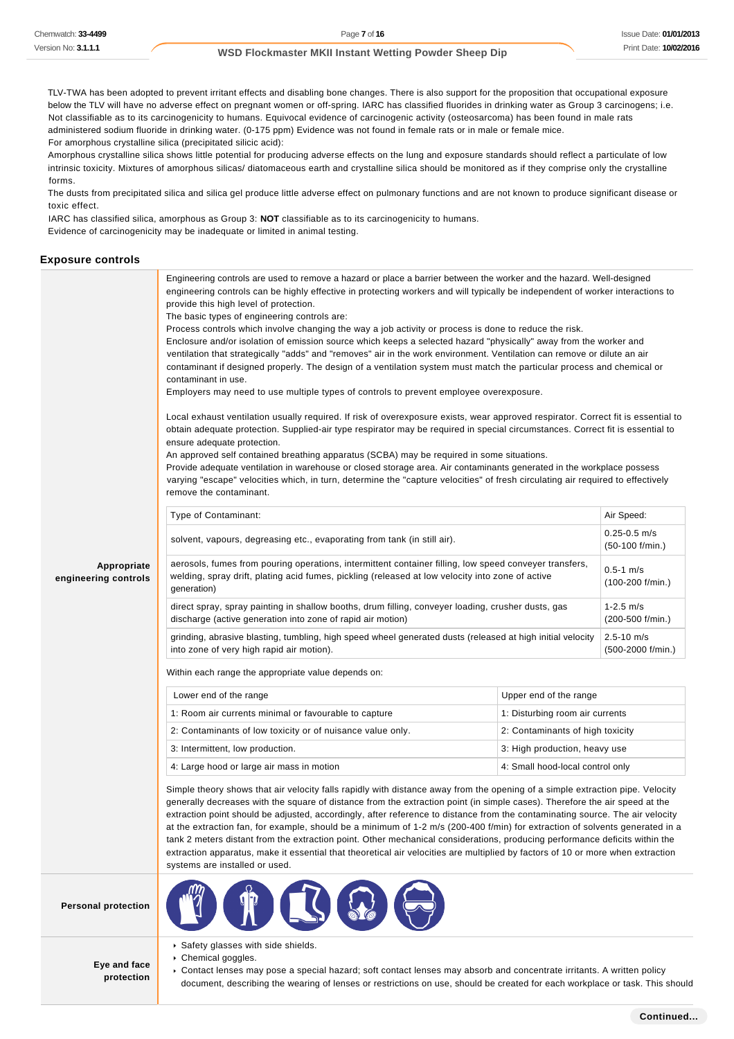TLV-TWA has been adopted to prevent irritant effects and disabling bone changes. There is also support for the proposition that occupational exposure below the TLV will have no adverse effect on pregnant women or off-spring. IARC has classified fluorides in drinking water as Group 3 carcinogens; i.e. Not classifiable as to its carcinogenicity to humans. Equivocal evidence of carcinogenic activity (osteosarcoma) has been found in male rats administered sodium fluoride in drinking water. (0-175 ppm) Evidence was not found in female rats or in male or female mice. For amorphous crystalline silica (precipitated silicic acid):

Amorphous crystalline silica shows little potential for producing adverse effects on the lung and exposure standards should reflect a particulate of low intrinsic toxicity. Mixtures of amorphous silicas/ diatomaceous earth and crystalline silica should be monitored as if they comprise only the crystalline forms.

The dusts from precipitated silica and silica gel produce little adverse effect on pulmonary functions and are not known to produce significant disease or toxic effect.

IARC has classified silica, amorphous as Group 3: **NOT** classifiable as to its carcinogenicity to humans.

Evidence of carcinogenicity may be inadequate or limited in animal testing.

#### **Exposure controls**

|                                     | Engineering controls are used to remove a hazard or place a barrier between the worker and the hazard. Well-designed<br>engineering controls can be highly effective in protecting workers and will typically be independent of worker interactions to<br>provide this high level of protection.<br>The basic types of engineering controls are:<br>Process controls which involve changing the way a job activity or process is done to reduce the risk.<br>Enclosure and/or isolation of emission source which keeps a selected hazard "physically" away from the worker and<br>ventilation that strategically "adds" and "removes" air in the work environment. Ventilation can remove or dilute an air<br>contaminant if designed properly. The design of a ventilation system must match the particular process and chemical or<br>contaminant in use.<br>Employers may need to use multiple types of controls to prevent employee overexposure.<br>Local exhaust ventilation usually required. If risk of overexposure exists, wear approved respirator. Correct fit is essential to<br>obtain adequate protection. Supplied-air type respirator may be required in special circumstances. Correct fit is essential to<br>ensure adequate protection.<br>An approved self contained breathing apparatus (SCBA) may be required in some situations.<br>Provide adequate ventilation in warehouse or closed storage area. Air contaminants generated in the workplace possess<br>varying "escape" velocities which, in turn, determine the "capture velocities" of fresh circulating air required to effectively<br>remove the contaminant. |                                  |            |  |
|-------------------------------------|-------------------------------------------------------------------------------------------------------------------------------------------------------------------------------------------------------------------------------------------------------------------------------------------------------------------------------------------------------------------------------------------------------------------------------------------------------------------------------------------------------------------------------------------------------------------------------------------------------------------------------------------------------------------------------------------------------------------------------------------------------------------------------------------------------------------------------------------------------------------------------------------------------------------------------------------------------------------------------------------------------------------------------------------------------------------------------------------------------------------------------------------------------------------------------------------------------------------------------------------------------------------------------------------------------------------------------------------------------------------------------------------------------------------------------------------------------------------------------------------------------------------------------------------------------------------------------------------------------------------------------------------------|----------------------------------|------------|--|
|                                     | Type of Contaminant:                                                                                                                                                                                                                                                                                                                                                                                                                                                                                                                                                                                                                                                                                                                                                                                                                                                                                                                                                                                                                                                                                                                                                                                                                                                                                                                                                                                                                                                                                                                                                                                                                            |                                  | Air Speed: |  |
|                                     | $0.25 - 0.5$ m/s<br>solvent, vapours, degreasing etc., evaporating from tank (in still air).<br>$(50-100)$ f/min.)                                                                                                                                                                                                                                                                                                                                                                                                                                                                                                                                                                                                                                                                                                                                                                                                                                                                                                                                                                                                                                                                                                                                                                                                                                                                                                                                                                                                                                                                                                                              |                                  |            |  |
| Appropriate<br>engineering controls | aerosols, fumes from pouring operations, intermittent container filling, low speed conveyer transfers,<br>$0.5 - 1$ m/s<br>welding, spray drift, plating acid fumes, pickling (released at low velocity into zone of active<br>$(100-200)$ f/min.)<br>generation)                                                                                                                                                                                                                                                                                                                                                                                                                                                                                                                                                                                                                                                                                                                                                                                                                                                                                                                                                                                                                                                                                                                                                                                                                                                                                                                                                                               |                                  |            |  |
|                                     | direct spray, spray painting in shallow booths, drum filling, conveyer loading, crusher dusts, gas<br>$1 - 2.5$ m/s<br>discharge (active generation into zone of rapid air motion)<br>$(200-500 f/min.)$                                                                                                                                                                                                                                                                                                                                                                                                                                                                                                                                                                                                                                                                                                                                                                                                                                                                                                                                                                                                                                                                                                                                                                                                                                                                                                                                                                                                                                        |                                  |            |  |
|                                     | grinding, abrasive blasting, tumbling, high speed wheel generated dusts (released at high initial velocity<br>$2.5 - 10$ m/s<br>into zone of very high rapid air motion).<br>$(500-2000 f/min.)$                                                                                                                                                                                                                                                                                                                                                                                                                                                                                                                                                                                                                                                                                                                                                                                                                                                                                                                                                                                                                                                                                                                                                                                                                                                                                                                                                                                                                                                |                                  |            |  |
|                                     | Within each range the appropriate value depends on:                                                                                                                                                                                                                                                                                                                                                                                                                                                                                                                                                                                                                                                                                                                                                                                                                                                                                                                                                                                                                                                                                                                                                                                                                                                                                                                                                                                                                                                                                                                                                                                             |                                  |            |  |
|                                     | Lower end of the range                                                                                                                                                                                                                                                                                                                                                                                                                                                                                                                                                                                                                                                                                                                                                                                                                                                                                                                                                                                                                                                                                                                                                                                                                                                                                                                                                                                                                                                                                                                                                                                                                          | Upper end of the range           |            |  |
|                                     | 1: Room air currents minimal or favourable to capture                                                                                                                                                                                                                                                                                                                                                                                                                                                                                                                                                                                                                                                                                                                                                                                                                                                                                                                                                                                                                                                                                                                                                                                                                                                                                                                                                                                                                                                                                                                                                                                           | 1: Disturbing room air currents  |            |  |
|                                     | 2: Contaminants of low toxicity or of nuisance value only.                                                                                                                                                                                                                                                                                                                                                                                                                                                                                                                                                                                                                                                                                                                                                                                                                                                                                                                                                                                                                                                                                                                                                                                                                                                                                                                                                                                                                                                                                                                                                                                      | 2: Contaminants of high toxicity |            |  |
|                                     | 3: Intermittent, low production.                                                                                                                                                                                                                                                                                                                                                                                                                                                                                                                                                                                                                                                                                                                                                                                                                                                                                                                                                                                                                                                                                                                                                                                                                                                                                                                                                                                                                                                                                                                                                                                                                | 3: High production, heavy use    |            |  |
|                                     | 4: Large hood or large air mass in motion                                                                                                                                                                                                                                                                                                                                                                                                                                                                                                                                                                                                                                                                                                                                                                                                                                                                                                                                                                                                                                                                                                                                                                                                                                                                                                                                                                                                                                                                                                                                                                                                       | 4: Small hood-local control only |            |  |
|                                     | Simple theory shows that air velocity falls rapidly with distance away from the opening of a simple extraction pipe. Velocity<br>generally decreases with the square of distance from the extraction point (in simple cases). Therefore the air speed at the<br>extraction point should be adjusted, accordingly, after reference to distance from the contaminating source. The air velocity<br>at the extraction fan, for example, should be a minimum of 1-2 m/s (200-400 f/min) for extraction of solvents generated in a<br>tank 2 meters distant from the extraction point. Other mechanical considerations, producing performance deficits within the<br>extraction apparatus, make it essential that theoretical air velocities are multiplied by factors of 10 or more when extraction<br>systems are installed or used.                                                                                                                                                                                                                                                                                                                                                                                                                                                                                                                                                                                                                                                                                                                                                                                                               |                                  |            |  |
| <b>Personal protection</b>          |                                                                                                                                                                                                                                                                                                                                                                                                                                                                                                                                                                                                                                                                                                                                                                                                                                                                                                                                                                                                                                                                                                                                                                                                                                                                                                                                                                                                                                                                                                                                                                                                                                                 |                                  |            |  |
| Eye and face<br>protection          | ▶ Safety glasses with side shields.<br>▶ Chemical goggles.<br>▶ Contact lenses may pose a special hazard; soft contact lenses may absorb and concentrate irritants. A written policy                                                                                                                                                                                                                                                                                                                                                                                                                                                                                                                                                                                                                                                                                                                                                                                                                                                                                                                                                                                                                                                                                                                                                                                                                                                                                                                                                                                                                                                            |                                  |            |  |

document, describing the wearing of lenses or restrictions on use, should be created for each workplace or task. This should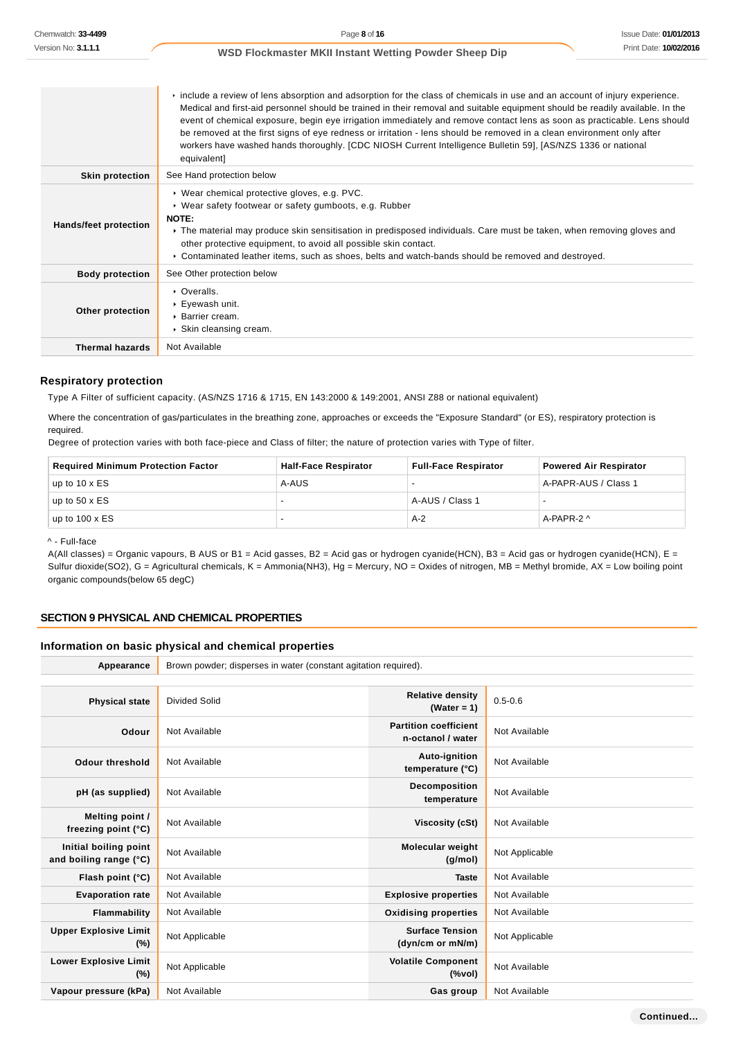|                              | $\triangleright$ include a review of lens absorption and adsorption for the class of chemicals in use and an account of injury experience.<br>Medical and first-aid personnel should be trained in their removal and suitable equipment should be readily available. In the<br>event of chemical exposure, begin eye irrigation immediately and remove contact lens as soon as practicable. Lens should<br>be removed at the first signs of eye redness or irritation - lens should be removed in a clean environment only after<br>workers have washed hands thoroughly. [CDC NIOSH Current Intelligence Bulletin 59], [AS/NZS 1336 or national<br>equivalent] |
|------------------------------|-----------------------------------------------------------------------------------------------------------------------------------------------------------------------------------------------------------------------------------------------------------------------------------------------------------------------------------------------------------------------------------------------------------------------------------------------------------------------------------------------------------------------------------------------------------------------------------------------------------------------------------------------------------------|
| <b>Skin protection</b>       | See Hand protection below                                                                                                                                                                                                                                                                                                                                                                                                                                                                                                                                                                                                                                       |
| <b>Hands/feet protection</b> | ▶ Wear chemical protective gloves, e.g. PVC.<br>• Wear safety footwear or safety gumboots, e.g. Rubber<br>NOTE:<br>► The material may produce skin sensitisation in predisposed individuals. Care must be taken, when removing gloves and<br>other protective equipment, to avoid all possible skin contact.<br>▶ Contaminated leather items, such as shoes, belts and watch-bands should be removed and destroyed.                                                                                                                                                                                                                                             |
| <b>Body protection</b>       | See Other protection below                                                                                                                                                                                                                                                                                                                                                                                                                                                                                                                                                                                                                                      |
| Other protection             | $\triangleright$ Overalls<br>▶ Eyewash unit.<br>▶ Barrier cream.<br>▶ Skin cleansing cream.                                                                                                                                                                                                                                                                                                                                                                                                                                                                                                                                                                     |
| <b>Thermal hazards</b>       | Not Available                                                                                                                                                                                                                                                                                                                                                                                                                                                                                                                                                                                                                                                   |

### **Respiratory protection**

Type A Filter of sufficient capacity. (AS/NZS 1716 & 1715, EN 143:2000 & 149:2001, ANSI Z88 or national equivalent)

Where the concentration of gas/particulates in the breathing zone, approaches or exceeds the "Exposure Standard" (or ES), respiratory protection is required.

Degree of protection varies with both face-piece and Class of filter; the nature of protection varies with Type of filter.

Appearance **Brown powder; disperses in water (constant agitation required).** 

| <b>Required Minimum Protection Factor</b> | <b>Half-Face Respirator</b> | <b>Full-Face Respirator</b> | <b>Powered Air Respirator</b> |
|-------------------------------------------|-----------------------------|-----------------------------|-------------------------------|
| up to $10 \times ES$                      | A-AUS                       |                             | A-PAPR-AUS / Class 1          |
| up to $50 \times ES$                      |                             | A-AUS / Class 1             |                               |
| up to $100 \times ES$                     |                             | $A-2$                       | A-PAPR-2 ^                    |

^ - Full-face

A(All classes) = Organic vapours, B AUS or B1 = Acid gasses, B2 = Acid gas or hydrogen cyanide(HCN), B3 = Acid gas or hydrogen cyanide(HCN), E = Sulfur dioxide(SO2), G = Agricultural chemicals, K = Ammonia(NH3), Hg = Mercury, NO = Oxides of nitrogen, MB = Methyl bromide, AX = Low boiling point organic compounds(below 65 degC)

### **SECTION 9 PHYSICAL AND CHEMICAL PROPERTIES**

#### **Information on basic physical and chemical properties**

**Physical state** Divided Solid **Relative density Relative density (Water = 1)** 0.5-0.6 **Odour** Not Available **Partition coefficient n-octanol / water** Not Available **Odour threshold** Not Available **Auto-ignition Auto-ignition temperature (°C)** Not Available **pH (as supplied)** Not Available **Decomposition temperature** Not Available **Melting point / freezing point (°C)** Not Available **Viscosity (cSt)** Not Available **Initial boiling point and boiling range (°C) Not Available <b>Molecular weight Molecular weight (g/mol)** Not Applicable **Flash point (°C)** Not Available **Taste** Not Available **Evaporation rate** Not Available **Explosive properties** Not Available **Flammability** Not Available *Discussion Community* **Oxidising properties** Not Available **Upper Explosive Limit (%)** Not Applicable **Surface Tension (dyn/cm or mN/m)** Not Applicable **Lower Explosive Limit (%)** Not Applicable **Volatile Component (%vol)** Not Available **Vapour pressure (kPa)** Not Available **Gas group** Not Available **Gas group** Not Available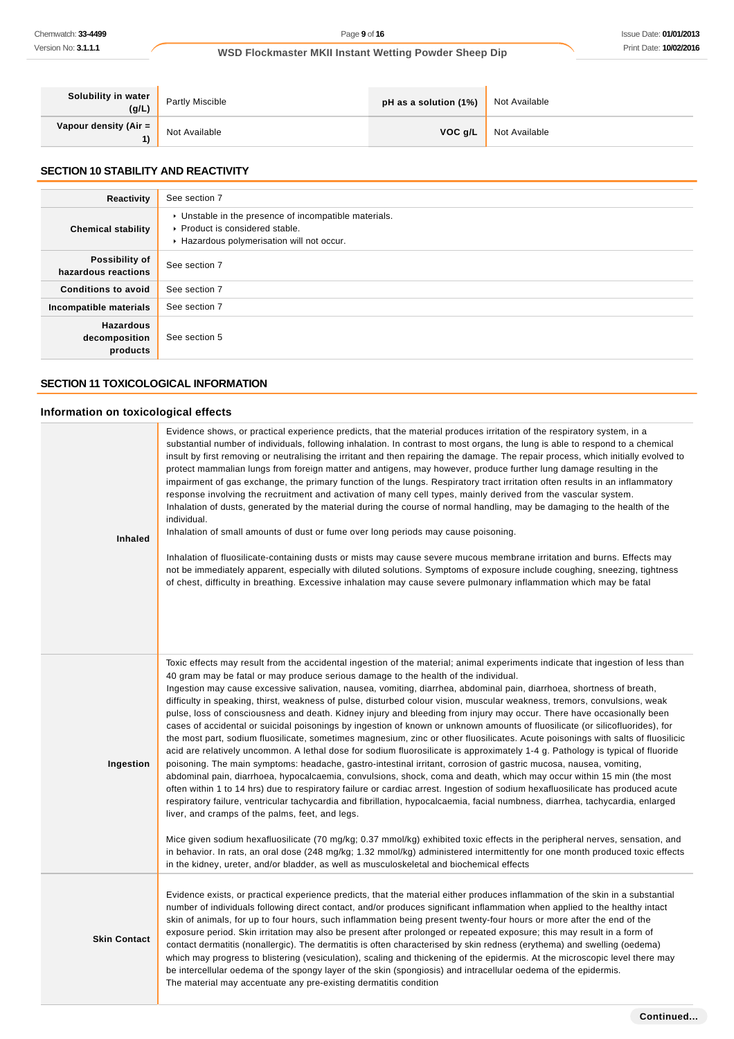| Solubility in water<br>(g/L)  | <b>Partly Miscible</b> | pH as a solution (1%) | Not Available |
|-------------------------------|------------------------|-----------------------|---------------|
| Vapour density (Air $=$<br>1) | Not Available          | VOC g/L               | Not Available |

# **SECTION 10 STABILITY AND REACTIVITY**

| Reactivity                                    | See section 7                                                                                                                        |
|-----------------------------------------------|--------------------------------------------------------------------------------------------------------------------------------------|
| <b>Chemical stability</b>                     | • Unstable in the presence of incompatible materials.<br>▶ Product is considered stable.<br>Hazardous polymerisation will not occur. |
| Possibility of<br>hazardous reactions         | See section 7                                                                                                                        |
| <b>Conditions to avoid</b>                    | See section 7                                                                                                                        |
| Incompatible materials                        | See section 7                                                                                                                        |
| <b>Hazardous</b><br>decomposition<br>products | See section 5                                                                                                                        |

# **SECTION 11 TOXICOLOGICAL INFORMATION**

### **Information on toxicological effects**

| <b>Inhaled</b>      | Evidence shows, or practical experience predicts, that the material produces irritation of the respiratory system, in a<br>substantial number of individuals, following inhalation. In contrast to most organs, the lung is able to respond to a chemical<br>insult by first removing or neutralising the irritant and then repairing the damage. The repair process, which initially evolved to<br>protect mammalian lungs from foreign matter and antigens, may however, produce further lung damage resulting in the<br>impairment of gas exchange, the primary function of the lungs. Respiratory tract irritation often results in an inflammatory<br>response involving the recruitment and activation of many cell types, mainly derived from the vascular system.<br>Inhalation of dusts, generated by the material during the course of normal handling, may be damaging to the health of the<br>individual.<br>Inhalation of small amounts of dust or fume over long periods may cause poisoning.<br>Inhalation of fluosilicate-containing dusts or mists may cause severe mucous membrane irritation and burns. Effects may<br>not be immediately apparent, especially with diluted solutions. Symptoms of exposure include coughing, sneezing, tightness<br>of chest, difficulty in breathing. Excessive inhalation may cause severe pulmonary inflammation which may be fatal                                                                                                                                                                                                                                                                                                                                                                                                                                                                                                                                                         |
|---------------------|----------------------------------------------------------------------------------------------------------------------------------------------------------------------------------------------------------------------------------------------------------------------------------------------------------------------------------------------------------------------------------------------------------------------------------------------------------------------------------------------------------------------------------------------------------------------------------------------------------------------------------------------------------------------------------------------------------------------------------------------------------------------------------------------------------------------------------------------------------------------------------------------------------------------------------------------------------------------------------------------------------------------------------------------------------------------------------------------------------------------------------------------------------------------------------------------------------------------------------------------------------------------------------------------------------------------------------------------------------------------------------------------------------------------------------------------------------------------------------------------------------------------------------------------------------------------------------------------------------------------------------------------------------------------------------------------------------------------------------------------------------------------------------------------------------------------------------------------------------------------------------------------------------------------------------------------------|
| Ingestion           | Toxic effects may result from the accidental ingestion of the material; animal experiments indicate that ingestion of less than<br>40 gram may be fatal or may produce serious damage to the health of the individual.<br>Ingestion may cause excessive salivation, nausea, vomiting, diarrhea, abdominal pain, diarrhoea, shortness of breath,<br>difficulty in speaking, thirst, weakness of pulse, disturbed colour vision, muscular weakness, tremors, convulsions, weak<br>pulse, loss of consciousness and death. Kidney injury and bleeding from injury may occur. There have occasionally been<br>cases of accidental or suicidal poisonings by ingestion of known or unknown amounts of fluosilicate (or silicofluorides), for<br>the most part, sodium fluosilicate, sometimes magnesium, zinc or other fluosilicates. Acute poisonings with salts of fluosilicic<br>acid are relatively uncommon. A lethal dose for sodium fluorosilicate is approximately 1-4 g. Pathology is typical of fluoride<br>poisoning. The main symptoms: headache, gastro-intestinal irritant, corrosion of gastric mucosa, nausea, vomiting,<br>abdominal pain, diarrhoea, hypocalcaemia, convulsions, shock, coma and death, which may occur within 15 min (the most<br>often within 1 to 14 hrs) due to respiratory failure or cardiac arrest. Ingestion of sodium hexafluosilicate has produced acute<br>respiratory failure, ventricular tachycardia and fibrillation, hypocalcaemia, facial numbness, diarrhea, tachycardia, enlarged<br>liver, and cramps of the palms, feet, and legs.<br>Mice given sodium hexafluosilicate (70 mg/kg; 0.37 mmol/kg) exhibited toxic effects in the peripheral nerves, sensation, and<br>in behavior. In rats, an oral dose (248 mg/kg; 1.32 mmol/kg) administered intermittently for one month produced toxic effects<br>in the kidney, ureter, and/or bladder, as well as musculoskeletal and biochemical effects |
| <b>Skin Contact</b> | Evidence exists, or practical experience predicts, that the material either produces inflammation of the skin in a substantial<br>number of individuals following direct contact, and/or produces significant inflammation when applied to the healthy intact<br>skin of animals, for up to four hours, such inflammation being present twenty-four hours or more after the end of the<br>exposure period. Skin irritation may also be present after prolonged or repeated exposure; this may result in a form of<br>contact dermatitis (nonallergic). The dermatitis is often characterised by skin redness (erythema) and swelling (oedema)<br>which may progress to blistering (vesiculation), scaling and thickening of the epidermis. At the microscopic level there may<br>be intercellular oedema of the spongy layer of the skin (spongiosis) and intracellular oedema of the epidermis.<br>The material may accentuate any pre-existing dermatitis condition                                                                                                                                                                                                                                                                                                                                                                                                                                                                                                                                                                                                                                                                                                                                                                                                                                                                                                                                                                              |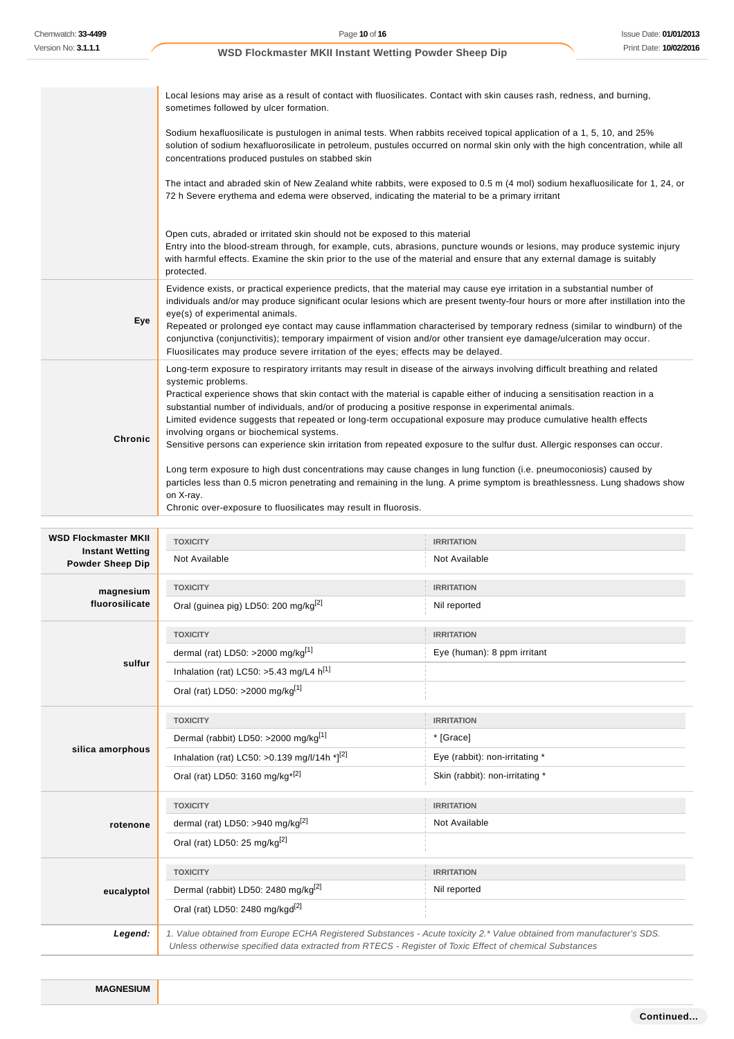|                                                   | Local lesions may arise as a result of contact with fluosilicates. Contact with skin causes rash, redness, and burning,<br>sometimes followed by ulcer formation.                                                                                                                                                                                                                                                                                                                                                                                                                                                                                                                  |                                                  |  |  |
|---------------------------------------------------|------------------------------------------------------------------------------------------------------------------------------------------------------------------------------------------------------------------------------------------------------------------------------------------------------------------------------------------------------------------------------------------------------------------------------------------------------------------------------------------------------------------------------------------------------------------------------------------------------------------------------------------------------------------------------------|--------------------------------------------------|--|--|
|                                                   | Sodium hexafluosilicate is pustulogen in animal tests. When rabbits received topical application of a 1, 5, 10, and 25%<br>solution of sodium hexafluorosilicate in petroleum, pustules occurred on normal skin only with the high concentration, while all<br>concentrations produced pustules on stabbed skin                                                                                                                                                                                                                                                                                                                                                                    |                                                  |  |  |
|                                                   | The intact and abraded skin of New Zealand white rabbits, were exposed to 0.5 m (4 mol) sodium hexafluosilicate for 1, 24, or<br>72 h Severe erythema and edema were observed, indicating the material to be a primary irritant                                                                                                                                                                                                                                                                                                                                                                                                                                                    |                                                  |  |  |
|                                                   | Open cuts, abraded or irritated skin should not be exposed to this material<br>Entry into the blood-stream through, for example, cuts, abrasions, puncture wounds or lesions, may produce systemic injury<br>with harmful effects. Examine the skin prior to the use of the material and ensure that any external damage is suitably<br>protected.                                                                                                                                                                                                                                                                                                                                 |                                                  |  |  |
| Eye                                               | Evidence exists, or practical experience predicts, that the material may cause eye irritation in a substantial number of<br>individuals and/or may produce significant ocular lesions which are present twenty-four hours or more after instillation into the<br>eye(s) of experimental animals.<br>Repeated or prolonged eye contact may cause inflammation characterised by temporary redness (similar to windburn) of the<br>conjunctiva (conjunctivitis); temporary impairment of vision and/or other transient eye damage/ulceration may occur.<br>Fluosilicates may produce severe irritation of the eyes; effects may be delayed.                                           |                                                  |  |  |
| <b>Chronic</b>                                    | Long-term exposure to respiratory irritants may result in disease of the airways involving difficult breathing and related<br>systemic problems.<br>Practical experience shows that skin contact with the material is capable either of inducing a sensitisation reaction in a<br>substantial number of individuals, and/or of producing a positive response in experimental animals.<br>Limited evidence suggests that repeated or long-term occupational exposure may produce cumulative health effects<br>involving organs or biochemical systems.<br>Sensitive persons can experience skin irritation from repeated exposure to the sulfur dust. Allergic responses can occur. |                                                  |  |  |
|                                                   | Long term exposure to high dust concentrations may cause changes in lung function (i.e. pneumoconiosis) caused by<br>particles less than 0.5 micron penetrating and remaining in the lung. A prime symptom is breathlessness. Lung shadows show<br>on X-ray.<br>Chronic over-exposure to fluosilicates may result in fluorosis.                                                                                                                                                                                                                                                                                                                                                    |                                                  |  |  |
|                                                   |                                                                                                                                                                                                                                                                                                                                                                                                                                                                                                                                                                                                                                                                                    |                                                  |  |  |
| <b>WSD Flockmaster MKII</b>                       |                                                                                                                                                                                                                                                                                                                                                                                                                                                                                                                                                                                                                                                                                    | <b>IRRITATION</b>                                |  |  |
| <b>Instant Wetting</b><br><b>Powder Sheep Dip</b> | <b>TOXICITY</b><br>Not Available                                                                                                                                                                                                                                                                                                                                                                                                                                                                                                                                                                                                                                                   | Not Available                                    |  |  |
|                                                   | <b>TOXICITY</b>                                                                                                                                                                                                                                                                                                                                                                                                                                                                                                                                                                                                                                                                    | <b>IRRITATION</b>                                |  |  |
| magnesium<br>fluorosilicate                       | Oral (guinea pig) LD50: 200 mg/kg <sup>[2]</sup>                                                                                                                                                                                                                                                                                                                                                                                                                                                                                                                                                                                                                                   | Nil reported                                     |  |  |
|                                                   |                                                                                                                                                                                                                                                                                                                                                                                                                                                                                                                                                                                                                                                                                    |                                                  |  |  |
|                                                   | <b>TOXICITY</b>                                                                                                                                                                                                                                                                                                                                                                                                                                                                                                                                                                                                                                                                    | <b>IRRITATION</b><br>Eye (human): 8 ppm irritant |  |  |
| sulfur                                            | dermal (rat) LD50: >2000 mg/kg[1]<br>Inhalation (rat) LC50: >5.43 mg/L4 $h^{[1]}$                                                                                                                                                                                                                                                                                                                                                                                                                                                                                                                                                                                                  |                                                  |  |  |
|                                                   | Oral (rat) LD50: >2000 mg/kg[1]                                                                                                                                                                                                                                                                                                                                                                                                                                                                                                                                                                                                                                                    |                                                  |  |  |
|                                                   |                                                                                                                                                                                                                                                                                                                                                                                                                                                                                                                                                                                                                                                                                    | <b>IRRITATION</b>                                |  |  |
|                                                   | <b>TOXICITY</b><br>Dermal (rabbit) LD50: >2000 mg/kg <sup>[1]</sup>                                                                                                                                                                                                                                                                                                                                                                                                                                                                                                                                                                                                                | * [Grace]                                        |  |  |
| silica amorphous                                  | Inhalation (rat) LC50: > 0.139 mg/l/14h * $]^{[2]}$                                                                                                                                                                                                                                                                                                                                                                                                                                                                                                                                                                                                                                | Eye (rabbit): non-irritating *                   |  |  |
|                                                   | Oral (rat) LD50: 3160 mg/kg <sup>*[2]</sup>                                                                                                                                                                                                                                                                                                                                                                                                                                                                                                                                                                                                                                        | Skin (rabbit): non-irritating *                  |  |  |
|                                                   | <b>TOXICITY</b>                                                                                                                                                                                                                                                                                                                                                                                                                                                                                                                                                                                                                                                                    | <b>IRRITATION</b>                                |  |  |
| rotenone                                          |                                                                                                                                                                                                                                                                                                                                                                                                                                                                                                                                                                                                                                                                                    | Not Available                                    |  |  |
|                                                   | dermal (rat) LD50: >940 mg/kg <sup>[2]</sup><br>Oral (rat) LD50: 25 mg/kg <sup>[2]</sup>                                                                                                                                                                                                                                                                                                                                                                                                                                                                                                                                                                                           |                                                  |  |  |
|                                                   | <b>TOXICITY</b>                                                                                                                                                                                                                                                                                                                                                                                                                                                                                                                                                                                                                                                                    | <b>IRRITATION</b>                                |  |  |
| eucalyptol                                        | Dermal (rabbit) LD50: 2480 mg/kg <sup>[2]</sup>                                                                                                                                                                                                                                                                                                                                                                                                                                                                                                                                                                                                                                    | Nil reported                                     |  |  |
|                                                   | Oral (rat) LD50: 2480 mg/kgd <sup>[2]</sup>                                                                                                                                                                                                                                                                                                                                                                                                                                                                                                                                                                                                                                        |                                                  |  |  |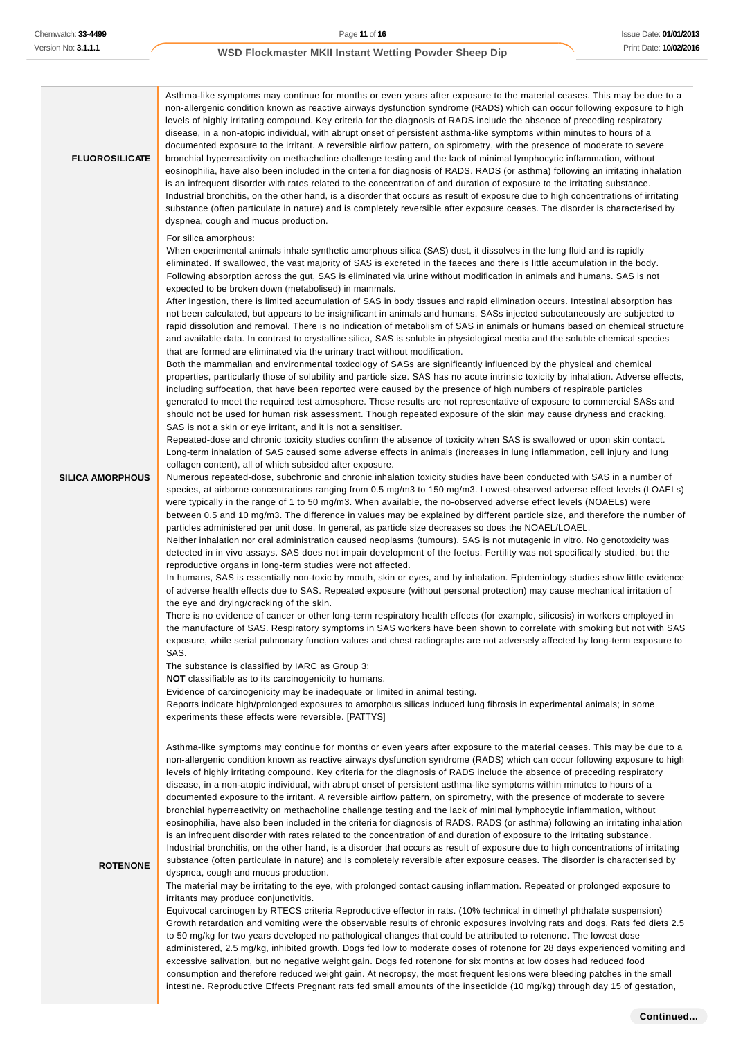| <b>FLUOROSILICATE</b>   | Asthma-like symptoms may continue for months or even years after exposure to the material ceases. This may be due to a<br>non-allergenic condition known as reactive airways dysfunction syndrome (RADS) which can occur following exposure to high<br>levels of highly irritating compound. Key criteria for the diagnosis of RADS include the absence of preceding respiratory<br>disease, in a non-atopic individual, with abrupt onset of persistent asthma-like symptoms within minutes to hours of a<br>documented exposure to the irritant. A reversible airflow pattern, on spirometry, with the presence of moderate to severe<br>bronchial hyperreactivity on methacholine challenge testing and the lack of minimal lymphocytic inflammation, without<br>eosinophilia, have also been included in the criteria for diagnosis of RADS. RADS (or asthma) following an irritating inhalation<br>is an infrequent disorder with rates related to the concentration of and duration of exposure to the irritating substance.<br>Industrial bronchitis, on the other hand, is a disorder that occurs as result of exposure due to high concentrations of irritating<br>substance (often particulate in nature) and is completely reversible after exposure ceases. The disorder is characterised by<br>dyspnea, cough and mucus production.                                                                                                                                                                                                                                                                                                                                                                                                                                                                                                                                                                                                                                                                                                                                                                                                                                                                                                                                                                                                                                                                                                                                                                                                                                                                                                                                                                                                                                                                                                                                                                                                                                                                                                                                                                                                                                                                                                                                                                                                                                                                                                                                                                                                                                                                                                                                                                                                                                                                                                                                                                                                                                                                                                                                                                                         |
|-------------------------|------------------------------------------------------------------------------------------------------------------------------------------------------------------------------------------------------------------------------------------------------------------------------------------------------------------------------------------------------------------------------------------------------------------------------------------------------------------------------------------------------------------------------------------------------------------------------------------------------------------------------------------------------------------------------------------------------------------------------------------------------------------------------------------------------------------------------------------------------------------------------------------------------------------------------------------------------------------------------------------------------------------------------------------------------------------------------------------------------------------------------------------------------------------------------------------------------------------------------------------------------------------------------------------------------------------------------------------------------------------------------------------------------------------------------------------------------------------------------------------------------------------------------------------------------------------------------------------------------------------------------------------------------------------------------------------------------------------------------------------------------------------------------------------------------------------------------------------------------------------------------------------------------------------------------------------------------------------------------------------------------------------------------------------------------------------------------------------------------------------------------------------------------------------------------------------------------------------------------------------------------------------------------------------------------------------------------------------------------------------------------------------------------------------------------------------------------------------------------------------------------------------------------------------------------------------------------------------------------------------------------------------------------------------------------------------------------------------------------------------------------------------------------------------------------------------------------------------------------------------------------------------------------------------------------------------------------------------------------------------------------------------------------------------------------------------------------------------------------------------------------------------------------------------------------------------------------------------------------------------------------------------------------------------------------------------------------------------------------------------------------------------------------------------------------------------------------------------------------------------------------------------------------------------------------------------------------------------------------------------------------------------------------------------------------------------------------------------------------------------------------------------------------------------------------------------------------------------------------------------------------------------------------------------------------------------------------------------------------------------------------------------------------------------------------------------------------------------------------------------------------------------|
| <b>SILICA AMORPHOUS</b> | For silica amorphous:<br>When experimental animals inhale synthetic amorphous silica (SAS) dust, it dissolves in the lung fluid and is rapidly<br>eliminated. If swallowed, the vast majority of SAS is excreted in the faeces and there is little accumulation in the body.<br>Following absorption across the gut, SAS is eliminated via urine without modification in animals and humans. SAS is not<br>expected to be broken down (metabolised) in mammals.<br>After ingestion, there is limited accumulation of SAS in body tissues and rapid elimination occurs. Intestinal absorption has<br>not been calculated, but appears to be insignificant in animals and humans. SASs injected subcutaneously are subjected to<br>rapid dissolution and removal. There is no indication of metabolism of SAS in animals or humans based on chemical structure<br>and available data. In contrast to crystalline silica, SAS is soluble in physiological media and the soluble chemical species<br>that are formed are eliminated via the urinary tract without modification.<br>Both the mammalian and environmental toxicology of SASs are significantly influenced by the physical and chemical<br>properties, particularly those of solubility and particle size. SAS has no acute intrinsic toxicity by inhalation. Adverse effects,<br>including suffocation, that have been reported were caused by the presence of high numbers of respirable particles<br>generated to meet the required test atmosphere. These results are not representative of exposure to commercial SASs and<br>should not be used for human risk assessment. Though repeated exposure of the skin may cause dryness and cracking,<br>SAS is not a skin or eye irritant, and it is not a sensitiser.<br>Repeated-dose and chronic toxicity studies confirm the absence of toxicity when SAS is swallowed or upon skin contact.<br>Long-term inhalation of SAS caused some adverse effects in animals (increases in lung inflammation, cell injury and lung<br>collagen content), all of which subsided after exposure.<br>Numerous repeated-dose, subchronic and chronic inhalation toxicity studies have been conducted with SAS in a number of<br>species, at airborne concentrations ranging from 0.5 mg/m3 to 150 mg/m3. Lowest-observed adverse effect levels (LOAELs)<br>were typically in the range of 1 to 50 mg/m3. When available, the no-observed adverse effect levels (NOAELs) were<br>between 0.5 and 10 mg/m3. The difference in values may be explained by different particle size, and therefore the number of<br>particles administered per unit dose. In general, as particle size decreases so does the NOAEL/LOAEL.<br>Neither inhalation nor oral administration caused neoplasms (tumours). SAS is not mutagenic in vitro. No genotoxicity was<br>detected in in vivo assays. SAS does not impair development of the foetus. Fertility was not specifically studied, but the<br>reproductive organs in long-term studies were not affected.<br>In humans, SAS is essentially non-toxic by mouth, skin or eyes, and by inhalation. Epidemiology studies show little evidence<br>of adverse health effects due to SAS. Repeated exposure (without personal protection) may cause mechanical irritation of<br>the eye and drying/cracking of the skin.<br>There is no evidence of cancer or other long-term respiratory health effects (for example, silicosis) in workers employed in<br>the manufacture of SAS. Respiratory symptoms in SAS workers have been shown to correlate with smoking but not with SAS<br>exposure, while serial pulmonary function values and chest radiographs are not adversely affected by long-term exposure to<br>SAS.<br>The substance is classified by IARC as Group 3:<br><b>NOT</b> classifiable as to its carcinogenicity to humans.<br>Evidence of carcinogenicity may be inadequate or limited in animal testing.<br>Reports indicate high/prolonged exposures to amorphous silicas induced lung fibrosis in experimental animals; in some<br>experiments these effects were reversible. [PATTYS] |
| <b>ROTENONE</b>         | Asthma-like symptoms may continue for months or even years after exposure to the material ceases. This may be due to a<br>non-allergenic condition known as reactive airways dysfunction syndrome (RADS) which can occur following exposure to high<br>levels of highly irritating compound. Key criteria for the diagnosis of RADS include the absence of preceding respiratory<br>disease, in a non-atopic individual, with abrupt onset of persistent asthma-like symptoms within minutes to hours of a<br>documented exposure to the irritant. A reversible airflow pattern, on spirometry, with the presence of moderate to severe<br>bronchial hyperreactivity on methacholine challenge testing and the lack of minimal lymphocytic inflammation, without<br>eosinophilia, have also been included in the criteria for diagnosis of RADS. RADS (or asthma) following an irritating inhalation<br>is an infrequent disorder with rates related to the concentration of and duration of exposure to the irritating substance.<br>Industrial bronchitis, on the other hand, is a disorder that occurs as result of exposure due to high concentrations of irritating<br>substance (often particulate in nature) and is completely reversible after exposure ceases. The disorder is characterised by<br>dyspnea, cough and mucus production.<br>The material may be irritating to the eye, with prolonged contact causing inflammation. Repeated or prolonged exposure to<br>irritants may produce conjunctivitis.<br>Equivocal carcinogen by RTECS criteria Reproductive effector in rats. (10% technical in dimethyl phthalate suspension)<br>Growth retardation and vomiting were the observable results of chronic exposures involving rats and dogs. Rats fed diets 2.5<br>to 50 mg/kg for two years developed no pathological changes that could be attributed to rotenone. The lowest dose<br>administered, 2.5 mg/kg, inhibited growth. Dogs fed low to moderate doses of rotenone for 28 days experienced vomiting and<br>excessive salivation, but no negative weight gain. Dogs fed rotenone for six months at low doses had reduced food<br>consumption and therefore reduced weight gain. At necropsy, the most frequent lesions were bleeding patches in the small<br>intestine. Reproductive Effects Pregnant rats fed small amounts of the insecticide (10 mg/kg) through day 15 of gestation,                                                                                                                                                                                                                                                                                                                                                                                                                                                                                                                                                                                                                                                                                                                                                                                                                                                                                                                                                                                                                                                                                                                                                                                                                                                                                                                                                                                                                                                                                                                                                                                                                                                                                                                       |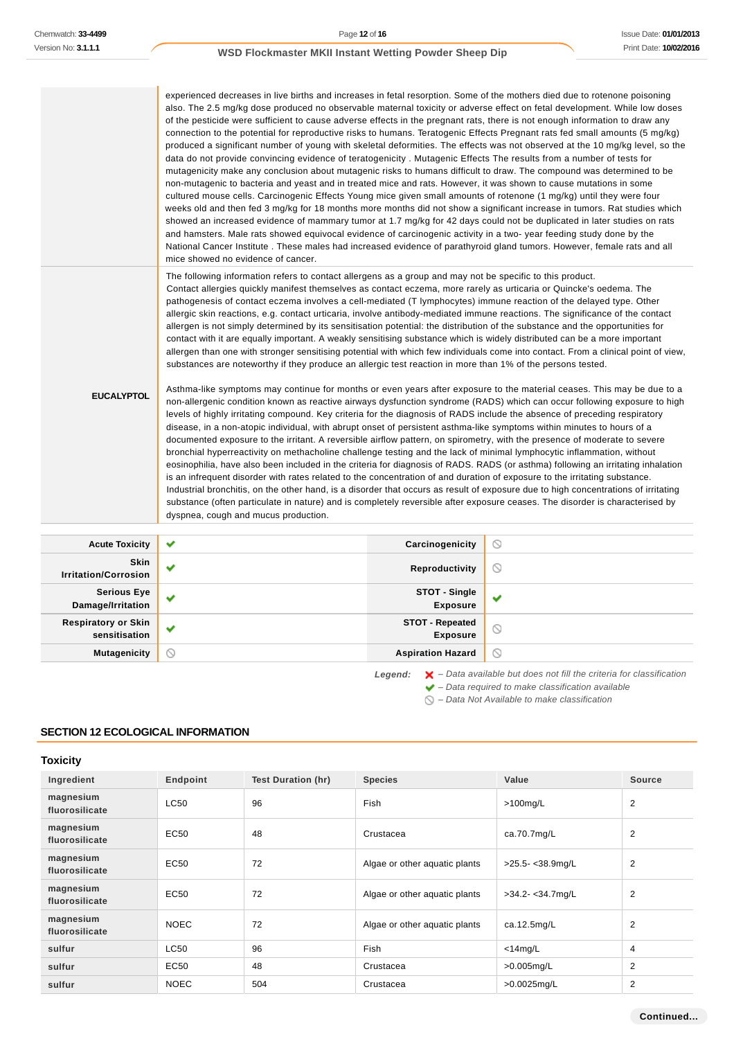|                                             | experienced decreases in live births and increases in fetal resorption. Some of the mothers died due to rotenone poisoning<br>of the pesticide were sufficient to cause adverse effects in the pregnant rats, there is not enough information to draw any<br>connection to the potential for reproductive risks to humans. Teratogenic Effects Pregnant rats fed small amounts (5 mg/kg)<br>data do not provide convincing evidence of teratogenicity. Mutagenic Effects The results from a number of tests for<br>mutagenicity make any conclusion about mutagenic risks to humans difficult to draw. The compound was determined to be<br>non-mutagenic to bacteria and yeast and in treated mice and rats. However, it was shown to cause mutations in some<br>cultured mouse cells. Carcinogenic Effects Young mice given small amounts of rotenone (1 mg/kg) until they were four<br>weeks old and then fed 3 mg/kg for 18 months more months did not show a significant increase in tumors. Rat studies which<br>showed an increased evidence of mammary tumor at 1.7 mg/kg for 42 days could not be duplicated in later studies on rats<br>and hamsters. Male rats showed equivocal evidence of carcinogenic activity in a two-year feeding study done by the<br>National Cancer Institute . These males had increased evidence of parathyroid gland tumors. However, female rats and all<br>mice showed no evidence of cancer.                                                                                                                                                                                                                                                                                                                                                                                     |                                           | also. The 2.5 mg/kg dose produced no observable maternal toxicity or adverse effect on fetal development. While low doses<br>produced a significant number of young with skeletal deformities. The effects was not observed at the 10 mg/kg level, so the                                                                                                                                                                                                                                                                     |
|---------------------------------------------|----------------------------------------------------------------------------------------------------------------------------------------------------------------------------------------------------------------------------------------------------------------------------------------------------------------------------------------------------------------------------------------------------------------------------------------------------------------------------------------------------------------------------------------------------------------------------------------------------------------------------------------------------------------------------------------------------------------------------------------------------------------------------------------------------------------------------------------------------------------------------------------------------------------------------------------------------------------------------------------------------------------------------------------------------------------------------------------------------------------------------------------------------------------------------------------------------------------------------------------------------------------------------------------------------------------------------------------------------------------------------------------------------------------------------------------------------------------------------------------------------------------------------------------------------------------------------------------------------------------------------------------------------------------------------------------------------------------------------------------------------------------------------------------------------------------------------|-------------------------------------------|-------------------------------------------------------------------------------------------------------------------------------------------------------------------------------------------------------------------------------------------------------------------------------------------------------------------------------------------------------------------------------------------------------------------------------------------------------------------------------------------------------------------------------|
| <b>EUCALYPTOL</b>                           | The following information refers to contact allergens as a group and may not be specific to this product.<br>Contact allergies quickly manifest themselves as contact eczema, more rarely as urticaria or Quincke's oedema. The<br>pathogenesis of contact eczema involves a cell-mediated (T lymphocytes) immune reaction of the delayed type. Other<br>allergic skin reactions, e.g. contact urticaria, involve antibody-mediated immune reactions. The significance of the contact<br>allergen is not simply determined by its sensitisation potential: the distribution of the substance and the opportunities for<br>contact with it are equally important. A weakly sensitising substance which is widely distributed can be a more important<br>substances are noteworthy if they produce an allergic test reaction in more than 1% of the persons tested.<br>levels of highly irritating compound. Key criteria for the diagnosis of RADS include the absence of preceding respiratory<br>disease, in a non-atopic individual, with abrupt onset of persistent asthma-like symptoms within minutes to hours of a<br>documented exposure to the irritant. A reversible airflow pattern, on spirometry, with the presence of moderate to severe<br>bronchial hyperreactivity on methacholine challenge testing and the lack of minimal lymphocytic inflammation, without<br>is an infrequent disorder with rates related to the concentration of and duration of exposure to the irritating substance.<br>Industrial bronchitis, on the other hand, is a disorder that occurs as result of exposure due to high concentrations of irritating<br>substance (often particulate in nature) and is completely reversible after exposure ceases. The disorder is characterised by<br>dyspnea, cough and mucus production. |                                           | allergen than one with stronger sensitising potential with which few individuals come into contact. From a clinical point of view,<br>Asthma-like symptoms may continue for months or even years after exposure to the material ceases. This may be due to a<br>non-allergenic condition known as reactive airways dysfunction syndrome (RADS) which can occur following exposure to high<br>eosinophilia, have also been included in the criteria for diagnosis of RADS. RADS (or asthma) following an irritating inhalation |
| <b>Acute Toxicity</b>                       | ✔                                                                                                                                                                                                                                                                                                                                                                                                                                                                                                                                                                                                                                                                                                                                                                                                                                                                                                                                                                                                                                                                                                                                                                                                                                                                                                                                                                                                                                                                                                                                                                                                                                                                                                                                                                                                                          | Carcinogenicity                           | ∾                                                                                                                                                                                                                                                                                                                                                                                                                                                                                                                             |
| Skin<br><b>Irritation/Corrosion</b>         | ✔                                                                                                                                                                                                                                                                                                                                                                                                                                                                                                                                                                                                                                                                                                                                                                                                                                                                                                                                                                                                                                                                                                                                                                                                                                                                                                                                                                                                                                                                                                                                                                                                                                                                                                                                                                                                                          | Reproductivity                            | $\circledcirc$                                                                                                                                                                                                                                                                                                                                                                                                                                                                                                                |
| <b>Serious Eye</b><br>Damage/Irritation     | ✔                                                                                                                                                                                                                                                                                                                                                                                                                                                                                                                                                                                                                                                                                                                                                                                                                                                                                                                                                                                                                                                                                                                                                                                                                                                                                                                                                                                                                                                                                                                                                                                                                                                                                                                                                                                                                          | STOT - Single<br><b>Exposure</b>          | ✔                                                                                                                                                                                                                                                                                                                                                                                                                                                                                                                             |
| <b>Respiratory or Skin</b><br>sensitisation | ✔                                                                                                                                                                                                                                                                                                                                                                                                                                                                                                                                                                                                                                                                                                                                                                                                                                                                                                                                                                                                                                                                                                                                                                                                                                                                                                                                                                                                                                                                                                                                                                                                                                                                                                                                                                                                                          | <b>STOT - Repeated</b><br><b>Exposure</b> | Q                                                                                                                                                                                                                                                                                                                                                                                                                                                                                                                             |

**Mutagenicity Aspiration Hazard** 

Legend:  $\mathsf{X}$  - Data available but does not fill the criteria for classification  $\blacktriangleright$  – Data required to make classification available

 $\bigcirc$  – Data Not Available to make classification

 $\odot$ 

# **SECTION 12 ECOLOGICAL INFORMATION**

**Toxicity**

| Ingredient                  | Endpoint    | <b>Test Duration (hr)</b> | <b>Species</b>                | Value           | <b>Source</b>  |
|-----------------------------|-------------|---------------------------|-------------------------------|-----------------|----------------|
| magnesium<br>fluorosilicate | <b>LC50</b> | 96                        | Fish                          | $>100$ mg/L     | 2              |
| magnesium<br>fluorosilicate | EC50        | 48                        | Crustacea                     | ca.70.7mg/L     | 2              |
| magnesium<br>fluorosilicate | EC50        | 72                        | Algae or other aquatic plants | >25.5-<38.9mg/L | $\overline{2}$ |
| magnesium<br>fluorosilicate | EC50        | 72                        | Algae or other aquatic plants | >34.2-<34.7mg/L | 2              |
| magnesium<br>fluorosilicate | <b>NOEC</b> | 72                        | Algae or other aquatic plants | ca.12.5mg/L     | $\overline{2}$ |
| sulfur                      | LC50        | 96                        | Fish                          | $<$ 14mg/L      | 4              |
| sulfur                      | EC50        | 48                        | Crustacea                     | $>0.005$ mg/L   | $\overline{2}$ |
| sulfur                      | <b>NOEC</b> | 504                       | Crustacea                     | >0.0025mg/L     | 2              |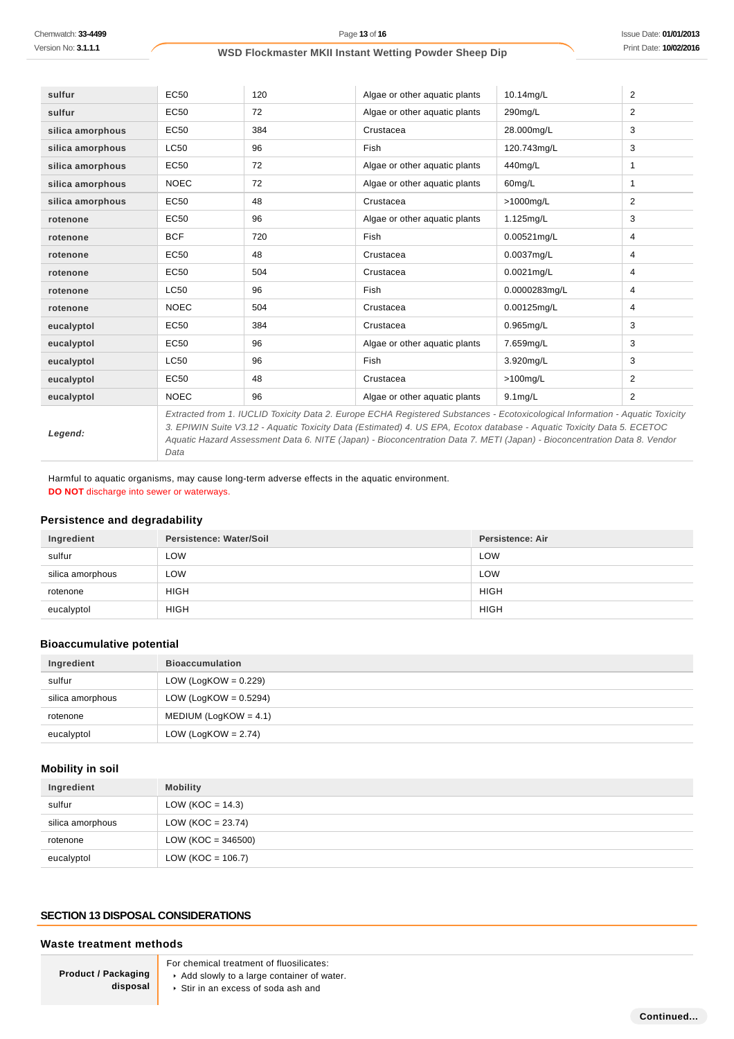| sulfur           | EC50                                                                                                                       | 120 | Algae or other aquatic plants | 10.14mg/L      | $\overline{2}$ |
|------------------|----------------------------------------------------------------------------------------------------------------------------|-----|-------------------------------|----------------|----------------|
| sulfur           | EC50                                                                                                                       | 72  | Algae or other aquatic plants | 290mg/L        | 2              |
| silica amorphous | EC50                                                                                                                       | 384 | Crustacea                     | 28.000mg/L     | 3              |
| silica amorphous | LC50                                                                                                                       | 96  | Fish                          | 120.743mg/L    | 3              |
| silica amorphous | EC50                                                                                                                       | 72  | Algae or other aquatic plants | 440mg/L        | 1              |
| silica amorphous | <b>NOEC</b>                                                                                                                | 72  | Algae or other aquatic plants | 60mg/L         | 1              |
| silica amorphous | EC50                                                                                                                       | 48  | Crustacea                     | >1000mg/L      | 2              |
| rotenone         | EC50                                                                                                                       | 96  | Algae or other aquatic plants | 1.125mg/L      | 3              |
| rotenone         | <b>BCF</b>                                                                                                                 | 720 | <b>Fish</b>                   | $0.00521$ mg/L | 4              |
| rotenone         | EC50                                                                                                                       | 48  | Crustacea                     | 0.0037mg/L     | 4              |
| rotenone         | EC50                                                                                                                       | 504 | Crustacea                     | $0.0021$ mg/L  | 4              |
| rotenone         | LC50                                                                                                                       | 96  | <b>Fish</b>                   | 0.0000283mg/L  | 4              |
| rotenone         | <b>NOEC</b>                                                                                                                | 504 | Crustacea                     | $0.00125$ mg/L | 4              |
| eucalyptol       | EC50                                                                                                                       | 384 | Crustacea                     | $0.965$ mg/L   | 3              |
| eucalyptol       | EC50                                                                                                                       | 96  | Algae or other aquatic plants | 7.659mg/L      | 3              |
| eucalyptol       | LC50                                                                                                                       | 96  | Fish                          | 3.920mg/L      | 3              |
| eucalyptol       | EC50                                                                                                                       | 48  | Crustacea                     | $>100$ mg/L    | $\overline{2}$ |
| eucalyptol       | <b>NOEC</b>                                                                                                                | 96  | Algae or other aquatic plants | $9.1$ mg/L     | 2              |
|                  | Extracted from 1 HICHD Toxicity Data 2 Europe ECHA Registered Substances - Ecotoxicological Information - Aquatic Toxicity |     |                               |                |                |

**Legend:**

Extracted from 1. IUCLID Toxicity Data 2. Europe ECHA Registered Substances - Ecotoxicological Information - Aquatic Toxicity 3. EPIWIN Suite V3.12 - Aquatic Toxicity Data (Estimated) 4. US EPA, Ecotox database - Aquatic Toxicity Data 5. ECETOC Aquatic Hazard Assessment Data 6. NITE (Japan) - Bioconcentration Data 7. METI (Japan) - Bioconcentration Data 8. Vendor Data

Harmful to aquatic organisms, may cause long-term adverse effects in the aquatic environment. **DO NOT** discharge into sewer or waterways.

# **Persistence and degradability**

| Ingredient       | Persistence: Water/Soil | <b>Persistence: Air</b> |
|------------------|-------------------------|-------------------------|
| sulfur           | LOW                     | LOW                     |
| silica amorphous | LOW                     | LOW                     |
| rotenone         | <b>HIGH</b>             | <b>HIGH</b>             |
| eucalyptol       | <b>HIGH</b>             | <b>HIGH</b>             |

### **Bioaccumulative potential**

| Ingredient       | <b>Bioaccumulation</b>   |
|------------------|--------------------------|
| sulfur           | LOW (LogKOW = $0.229$ )  |
| silica amorphous | LOW (LogKOW = $0.5294$ ) |
| rotenone         | MEDIUM (LogKOW = $4.1$ ) |
| eucalyptol       | LOW (LogKOW = $2.74$ )   |

# **Mobility in soil**

| Ingredient       | <b>Mobility</b>       |
|------------------|-----------------------|
| sulfur           | LOW (KOC = $14.3$ )   |
| silica amorphous | $LOW (KOC = 23.74)$   |
| rotenone         | $LOW (KOC = 346500)$  |
| eucalyptol       | LOW ( $KOC = 106.7$ ) |

### **SECTION 13 DISPOSAL CONSIDERATIONS**

### **Waste treatment methods**

**Product / Packaging disposal** For chemical treatment of fluosilicates:

Add slowly to a large container of water.

Stir in an excess of soda ash and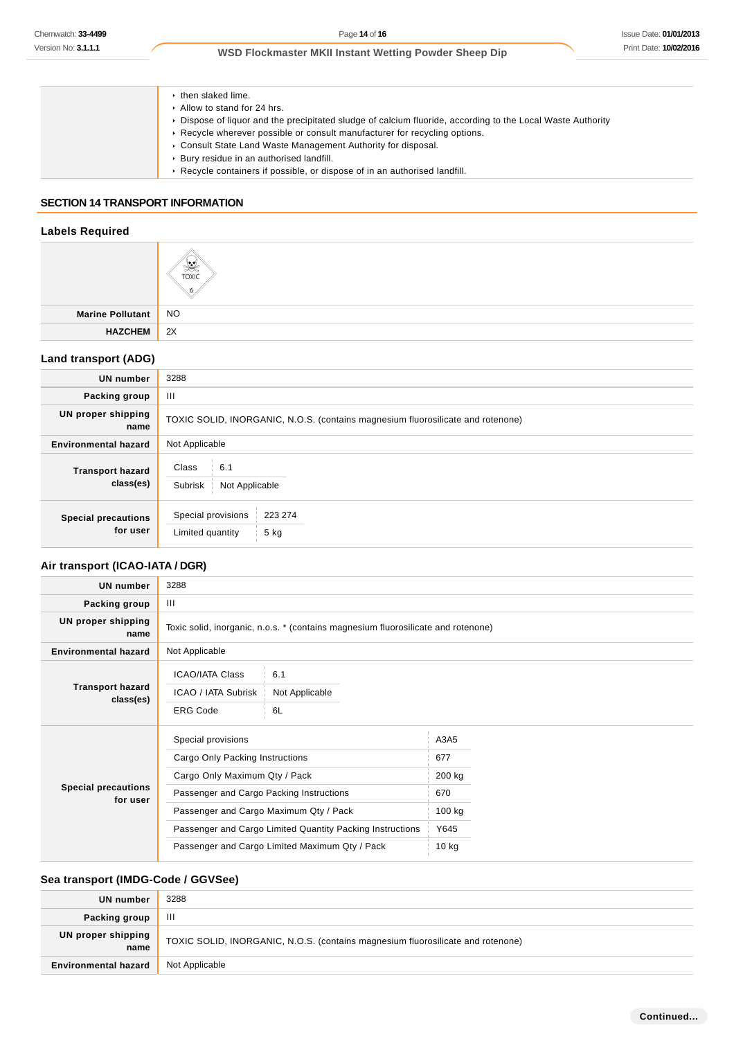| $\cdot$ then slaked lime.                                                                                   |
|-------------------------------------------------------------------------------------------------------------|
| Allow to stand for 24 hrs.                                                                                  |
| ► Dispose of liquor and the precipitated sludge of calcium fluoride, according to the Local Waste Authority |
| ► Recycle wherever possible or consult manufacturer for recycling options.                                  |
| • Consult State Land Waste Management Authority for disposal.                                               |
| ▶ Bury residue in an authorised landfill.                                                                   |
| ► Recycle containers if possible, or dispose of in an authorised landfill.                                  |
|                                                                                                             |

# **SECTION 14 TRANSPORT INFORMATION**

### **Labels Required**

|                     | ಿ<br><b>TOXIC</b> |
|---------------------|-------------------|
| Marine Pollutant NO |                   |
| <b>HAZCHEM</b>      | $\parallel$ 2X    |

# **Land transport (ADG)**

| <b>UN</b> number                       | 3288                                                                            |  |  |
|----------------------------------------|---------------------------------------------------------------------------------|--|--|
| Packing group                          | Ш                                                                               |  |  |
| UN proper shipping<br>name             | TOXIC SOLID, INORGANIC, N.O.S. (contains magnesium fluorosilicate and rotenone) |  |  |
| <b>Environmental hazard</b>            | Not Applicable                                                                  |  |  |
| <b>Transport hazard</b><br>class(es)   | Class<br>6.1<br>Subrisk<br>Not Applicable                                       |  |  |
| <b>Special precautions</b><br>for user | Special provisions<br>223 274<br>Limited quantity<br>5 kg                       |  |  |

# **Air transport (ICAO-IATA / DGR)**

| <b>UN number</b>                       | 3288                                                                                                                                                                                                                                                                                        |                             |                                                           |  |
|----------------------------------------|---------------------------------------------------------------------------------------------------------------------------------------------------------------------------------------------------------------------------------------------------------------------------------------------|-----------------------------|-----------------------------------------------------------|--|
| Packing group                          | III                                                                                                                                                                                                                                                                                         |                             |                                                           |  |
| UN proper shipping<br>name             | Toxic solid, inorganic, n.o.s. * (contains magnesium fluorosilicate and rotenone)                                                                                                                                                                                                           |                             |                                                           |  |
| <b>Environmental hazard</b>            | Not Applicable                                                                                                                                                                                                                                                                              |                             |                                                           |  |
| <b>Transport hazard</b><br>class(es)   | <b>ICAO/IATA Class</b><br>ICAO / IATA Subrisk<br><b>ERG Code</b>                                                                                                                                                                                                                            | 6.1<br>Not Applicable<br>6L |                                                           |  |
| <b>Special precautions</b><br>for user | Special provisions<br>Cargo Only Packing Instructions<br>Cargo Only Maximum Qty / Pack<br>Passenger and Cargo Packing Instructions<br>Passenger and Cargo Maximum Qty / Pack<br>Passenger and Cargo Limited Quantity Packing Instructions<br>Passenger and Cargo Limited Maximum Qty / Pack |                             | A3A5<br>677<br>200 kg<br>670<br>100 kg<br>Y645<br>$10$ kg |  |

# **Sea transport (IMDG-Code / GGVSee)**

| UN number                   | 3288                                                                            |
|-----------------------------|---------------------------------------------------------------------------------|
| Packing group               | Ш                                                                               |
| UN proper shipping<br>name  | TOXIC SOLID, INORGANIC, N.O.S. (contains magnesium fluorosilicate and rotenone) |
| <b>Environmental hazard</b> | Not Applicable                                                                  |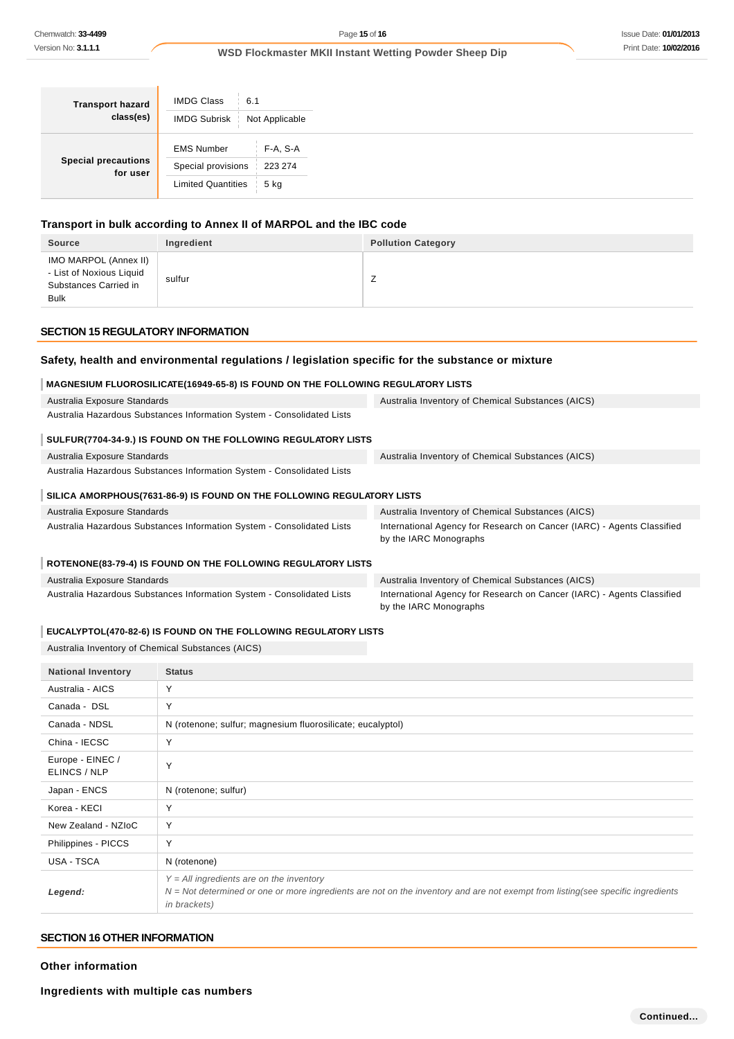| <b>Transport hazard</b><br>class(es)   | <b>IMDG Class</b><br>6.1<br><b>IMDG Subrisk</b> | Not Applicable  |
|----------------------------------------|-------------------------------------------------|-----------------|
| <b>Special precautions</b><br>for user | <b>EMS Number</b>                               | F-A, S-A        |
|                                        | Special provisions<br><b>Limited Quantities</b> | 223 274<br>5 kg |
|                                        |                                                 |                 |

# **Transport in bulk according to Annex II of MARPOL and the IBC code**

| <b>Source</b>                                                                             | Ingredient | <b>Pollution Category</b> |
|-------------------------------------------------------------------------------------------|------------|---------------------------|
| IMO MARPOL (Annex II)<br>- List of Noxious Liquid<br>Substances Carried in<br><b>Bulk</b> | sulfur     |                           |

### **SECTION 15 REGULATORY INFORMATION**

### **Safety, health and environmental regulations / legislation specific for the substance or mixture**

# **MAGNESIUM FLUOROSILICATE(16949-65-8) IS FOUND ON THE FOLLOWING REGULATORY LISTS**

| Australia Exposure Standards                                           | Australia Inventory of Chemical Substances (AICS)                      |
|------------------------------------------------------------------------|------------------------------------------------------------------------|
| Australia Hazardous Substances Information System - Consolidated Lists |                                                                        |
|                                                                        |                                                                        |
| SULFUR(7704-34-9.) IS FOUND ON THE FOLLOWING REGULATORY LISTS          |                                                                        |
| Australia Exposure Standards                                           | Australia Inventory of Chemical Substances (AICS)                      |
| Australia Hazardous Substances Information System - Consolidated Lists |                                                                        |
|                                                                        |                                                                        |
| SILICA AMORPHOUS(7631-86-9) IS FOUND ON THE FOLLOWING REGULATORY LISTS |                                                                        |
| Australia Exposure Standards                                           | Australia Inventory of Chemical Substances (AICS)                      |
| Australia Hazardous Substances Information System - Consolidated Lists | International Agency for Research on Cancer (IARC) - Agents Classified |
|                                                                        | by the IARC Monographs                                                 |
|                                                                        |                                                                        |

### **ROTENONE(83-79-4) IS FOUND ON THE FOLLOWING REGULATORY LISTS**

| Australia Exposure Standards                                           | Australia Inventory of Chemical Substances (AICS)                      |
|------------------------------------------------------------------------|------------------------------------------------------------------------|
| Australia Hazardous Substances Information System - Consolidated Lists | International Agency for Research on Cancer (IARC) - Agents Classified |
|                                                                        | by the IARC Monographs                                                 |

### **EUCALYPTOL(470-82-6) IS FOUND ON THE FOLLOWING REGULATORY LISTS**

Australia Inventory of Chemical Substances (AICS)

| <b>National Inventory</b>        | <b>Status</b>                                                                                                                                                                                           |
|----------------------------------|---------------------------------------------------------------------------------------------------------------------------------------------------------------------------------------------------------|
| Australia - AICS                 | Y                                                                                                                                                                                                       |
| Canada - DSL                     | Y                                                                                                                                                                                                       |
| Canada - NDSL                    | N (rotenone; sulfur; magnesium fluorosilicate; eucalyptol)                                                                                                                                              |
| China - IECSC                    | Y                                                                                                                                                                                                       |
| Europe - EINEC /<br>ELINCS / NLP | Y                                                                                                                                                                                                       |
| Japan - ENCS                     | N (rotenone; sulfur)                                                                                                                                                                                    |
| Korea - KECI                     | Y                                                                                                                                                                                                       |
| New Zealand - NZIoC              | Y                                                                                                                                                                                                       |
| Philippines - PICCS              | Y                                                                                                                                                                                                       |
| USA - TSCA                       | N (rotenone)                                                                                                                                                                                            |
| Legend:                          | $Y = All$ ingredients are on the inventory<br>$N = Not$ determined or one or more ingredients are not on the inventory and are not exempt from listing(see specific ingredients<br><i>in brackets</i> ) |

### **SECTION 16 OTHER INFORMATION**

**Other information**